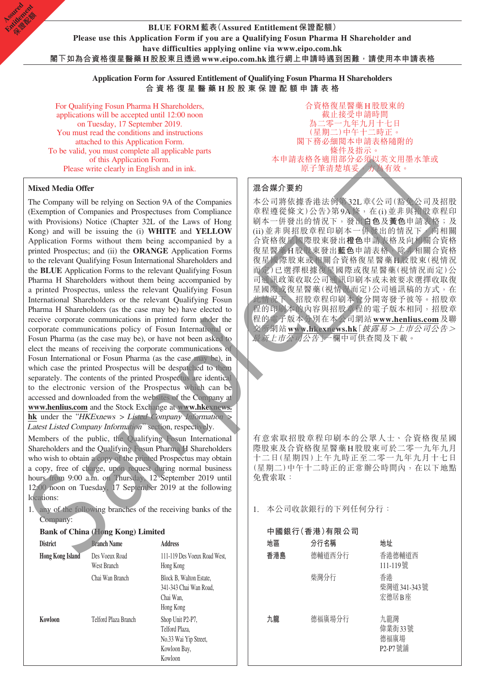**Application Form for Assured Entitlement of Qualifying Fosun Pharma H Shareholders 合資格復星醫藥 H 股 股東保證配額申請表格**

For Qualifying Fosun Pharma H Shareholders, applications will be accepted until 12:00 noon on Tuesday, 17 September 2019. You must read the conditions and instructions attached to this Application Form. To be valid, you must complete all applicable parts of this Application Form. Please write clearly in English and in ink.

**Mixed Media Offer**

**Assimed** Entitlement **Company** 

> The Company will be relying on Section 9A of the Companies (Exemption of Companies and Prospectuses from Compliance with Provisions) Notice (Chapter 32L of the Laws of Hong Kong) and will be issuing the (i) **WHITE** and **YELLOW** Application Forms without them being accompanied by a printed Prospectus; and (ii) the **ORANGE** Application Forms to the relevant Qualifying Fosun International Shareholders and the **BLUE** Application Forms to the relevant Qualifying Fosun Pharma H Shareholders without them being accompanied by a printed Prospectus, unless the relevant Qualifying Fosun International Shareholders or the relevant Qualifying Fosun Pharma H Shareholders (as the case may be) have elected to receive corporate communications in printed form under the corporate communications policy of Fosun International or Fosun Pharma (as the case may be), or have not been asked to elect the means of receiving the corporate communications of Fosun International or Fosun Pharma (as the case may be), in which case the printed Prospectus will be despatched to them separately. The contents of the printed Prospectus are identical to the electronic version of the Prospectus which can be accessed and downloaded from the websites of the Company at **www.henlius.com** and the Stock Exchange at **www.hkexnews. hk** under the "HKExnews > Listed Company Information > Latest Listed Company Information" section, respectively. Nixed Media Offer<br>
> The Companies and Proposents 9A of the Companies  $\mathcal{R} \otimes \mathcal{R} \otimes \mathcal{R}$ <br>
> The Companies and Proposents from Complines  $\mathcal{R} \otimes \mathcal{R} \otimes \mathcal{R}$ <br>
> (Faceroption of Companies and Proposents from Complin

Members of the public, the Qualifying Fosun International Shareholders and the Qualifying Fosun Pharma H Shareholders who wish to obtain a copy of the printed Prospectus may obtain a copy, free of charge, upon request during normal business hours from 9:00 a.m. on Thursday, 12 September 2019 until 12:00 noon on Tuesday, 17 September 2019 at the following locations:

1. any of the following branches of the receiving banks of the Company:

### **Bank of China (Hong Kong) Limited**

| <b>District</b>         | <b>Branch Name</b>            | <b>Address</b>                                                                         |
|-------------------------|-------------------------------|----------------------------------------------------------------------------------------|
| <b>Hong Kong Island</b> | Des Voeux Road<br>West Branch | 111-119 Des Voeux Road West.<br>Hong Kong                                              |
|                         | Chai Wan Branch               | Block B, Walton Estate,<br>341-343 Chai Wan Road,<br>Chai Wan.<br>Hong Kong            |
| Kowloon                 | Telford Plaza Branch          | Shop Unit P2-P7,<br>Telford Plaza,<br>No.33 Wai Yip Street,<br>Kowloon Bay,<br>Kowloon |

合資格復星醫藥H股股東的 截止接受申請時間 為二零一九年九月十七日 (星期二)中午十二時正。 閣下務必細閱本申請表格隨附的 條件及指示。 本申請表格各適用部分必須以英文用墨水筆或 原子筆清楚填妥,方為有效。

### **混合媒介要約**

本公司將依據香港法例第32L章《公司(豁免公司及招股 章程遵從條文)公告》第9A條, 在(i)並非與招股章程印 刷本一併發出的情況下,發出**白色**及**黃色**申請表格;及 (ii)並非與招股章程印刷本一併發出的情況下,向相關 合資格復星國際股東發出**橙色**申請表格及向相關合資格 復星醫藥H股股東發出**藍色**申請表格,除非相關合資格 復星國際股東或相關合資格復星醫藥H股股東(視情況 而定)已選擇根據復星國際或復星醫藥(視情況而定)公 司通訊政策收取公司通訊印刷本或未被要求選擇收取復 星國際或復星醫藥(視情況而定)公司通訊稿的方式,在 此情況下,招股章程印刷本會分開寄發予彼等。招股章 程的印刷本的內容與招股章程的電子版本相同,招股章 程的電子版本分別在本公司網站**www.henlius.com**及聯 交所網站**www.hkexnews.hk**「披露易>上市公司公告> 最新上市公司公告」一欄中可供查閱及下載。

有意索取招股章程印刷本的公眾人士、合資格復星國 際股東及合資格復星醫藥H股股東可於二零一九年九月 十二日(星期四)上午九時正至二零一九年九月十七日 (星期二)中午十二時正的正常辦公時間內,在以下地點 免費索取:

1. 本公司收款銀行的下列任何分行:

| 中國銀行(香港)有限公司 |        |                                  |  |  |  |  |  |
|--------------|--------|----------------------------------|--|--|--|--|--|
| 地區           | 分行名稱   | 地址                               |  |  |  |  |  |
| 香港島          | 德輔道西分行 | 香港德輔道西<br>111-119號               |  |  |  |  |  |
|              | 柴灣分行   | 香港<br>柴灣道 341-343號<br>宏德居B座      |  |  |  |  |  |
| 九龍           | 德福廣場分行 | 九龍灣<br>偉業街33號<br>德福廣場<br>P2-P7號舖 |  |  |  |  |  |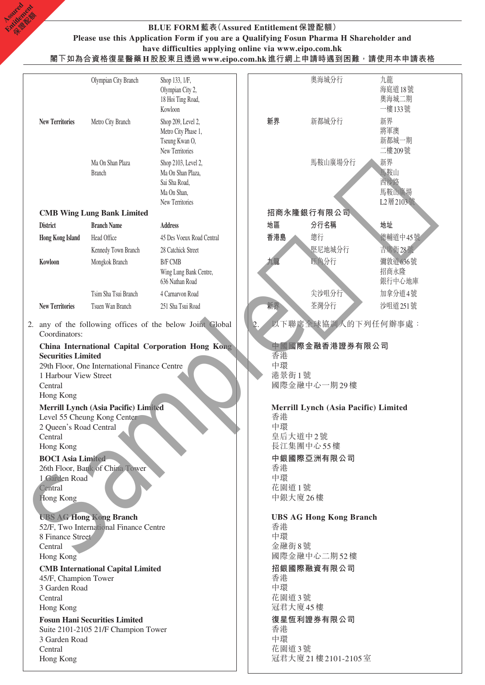### **BLUE FORM藍表(Assured Entitlement保證配額) Please use this Application Form if you are a Qualifying Fosun Pharma H Shareholder and have difficulties applying online via www.eipo.com.hk 閣下如為合資格復星醫藥H股股東且透過www.eipo.com.hk進行網上申請時遇到困難,請使用本申請表格**

**Assimed** Entitlement **Company** 

|                                       | Olympian City Branch                                                | Shop 133, 1/F,                                            |          | 奧海城分行                                | 九龍              |
|---------------------------------------|---------------------------------------------------------------------|-----------------------------------------------------------|----------|--------------------------------------|-----------------|
|                                       |                                                                     | Olympian City 2,<br>18 Hoi Ting Road,                     |          |                                      | 海庭道18號<br>奧海城二期 |
|                                       |                                                                     | Kowloon                                                   |          |                                      | 一樓133號          |
| <b>New Territories</b>                | Metro City Branch                                                   | Shop 209, Level 2,                                        | 新界       | 新都城分行                                | 新界              |
|                                       |                                                                     | Metro City Phase 1,<br>Tseung Kwan O,                     |          |                                      | 將軍澳<br>新都城一期    |
|                                       |                                                                     | New Territories                                           |          |                                      | 二樓209號          |
|                                       | Ma On Shan Plaza                                                    | Shop 2103, Level 2,                                       |          | 馬鞍山廣場分行                              | 新界              |
|                                       | <b>Branch</b>                                                       | Ma On Shan Plaza,                                         |          |                                      | 馬鞍山             |
|                                       |                                                                     | Sai Sha Road,<br>Ma On Shan,                              |          |                                      | 西沙路<br>馬鞍山廣場    |
|                                       |                                                                     | New Territories                                           |          |                                      | L2層2103號        |
|                                       | <b>CMB Wing Lung Bank Limited</b>                                   |                                                           |          | 招商永隆銀行有限公司                           |                 |
| <b>District</b>                       | <b>Branch Name</b>                                                  | <b>Address</b>                                            | 地區       | 分行名稱                                 | 地址              |
| <b>Hong Kong Island</b>               | Head Office                                                         | 45 Des Voeux Road Central                                 | 香港島      | 總行                                   | 德輔道中45號         |
|                                       | Kennedy Town Branch                                                 | 28 Catchick Street                                        |          | 堅尼地城分行                               | 吉席街28號          |
| Kowloon                               | Mongkok Branch                                                      | <b>B/F CMB</b>                                            | 九龍       | 旺角分行                                 | 彌敦道636號         |
|                                       |                                                                     | Wing Lung Bank Centre,<br>636 Nathan Road                 |          |                                      | 招商永隆<br>銀行中心地庫  |
|                                       | Tsim Sha Tsui Branch                                                | 4 Carnarvon Road                                          |          | 尖沙咀分行                                | 加拿分道4號          |
| <b>New Territories</b>                | Tsuen Wan Branch                                                    | 251 Sha Tsui Road                                         | 新界       | 荃灣分行                                 | 沙咀道 251號        |
|                                       |                                                                     |                                                           |          |                                      |                 |
| Coordinators:                         |                                                                     | 2. any of the following offices of the below Joint Global |          | 以下聯席全球協調人的下列任何辦事處:                   |                 |
|                                       |                                                                     | China International Capital Corporation Hong Kong         |          | 中國國際金融香港證券有限公司                       |                 |
| <b>Securities Limited</b>             | 29th Floor, One International Finance Centre                        |                                                           | 香港<br>中環 |                                      |                 |
| 1 Harbour View Street                 |                                                                     |                                                           | 港景街1號    |                                      |                 |
| Central                               |                                                                     |                                                           |          | 國際金融中心一期29樓                          |                 |
| Hong Kong                             |                                                                     |                                                           |          |                                      |                 |
|                                       | Merrill Lynch (Asia Pacific) Limited<br>Level 55 Cheung Kong Center |                                                           | 香港       | Merrill Lynch (Asia Pacific) Limited |                 |
| 2 Queen's Road Central                |                                                                     |                                                           | 中環       |                                      |                 |
| Central                               |                                                                     |                                                           |          | 皇后大道中2號<br>長江集團中心55樓                 |                 |
| Hong Kong<br><b>BOCI</b> Asia Limited |                                                                     |                                                           |          | 中銀國際亞洲有限公司                           |                 |
|                                       | 26th Floor, Bank of China Tower                                     |                                                           | 香港       |                                      |                 |
| 1 Garden Road                         |                                                                     |                                                           | 中環       |                                      |                 |
| Central<br>Hong Kong                  |                                                                     |                                                           | 花園道1號    | 中銀大廈26樓                              |                 |
|                                       |                                                                     |                                                           |          |                                      |                 |
|                                       | <b>UBS AG Hong Kong Branch</b>                                      |                                                           |          | <b>UBS AG Hong Kong Branch</b>       |                 |
| 8 Finance Street                      | 52/F, Two International Finance Centre                              |                                                           | 香港<br>中環 |                                      |                 |
| Central                               |                                                                     |                                                           | 金融街8號    |                                      |                 |
| Hong Kong                             |                                                                     |                                                           |          | 國際金融中心二期52樓                          |                 |
|                                       | <b>CMB</b> International Capital Limited                            |                                                           |          | 招銀國際融資有限公司                           |                 |
| 45/F, Champion Tower                  |                                                                     |                                                           | 香港<br>中環 |                                      |                 |
| 3 Garden Road<br>Central              |                                                                     |                                                           | 花園道3號    |                                      |                 |
| Hong Kong                             |                                                                     |                                                           |          | 冠君大廈45樓                              |                 |
|                                       | <b>Fosun Hani Securities Limited</b>                                |                                                           |          | 復星恆利證券有限公司                           |                 |
|                                       | Suite 2101-2105 21/F Champion Tower                                 |                                                           | 香港<br>中環 |                                      |                 |
| 3 Garden Road<br>Central              |                                                                     |                                                           | 花園道3號    |                                      |                 |
| Hong Kong                             |                                                                     |                                                           |          | 冠君大廈21樓2101-2105室                    |                 |
|                                       |                                                                     |                                                           |          |                                      |                 |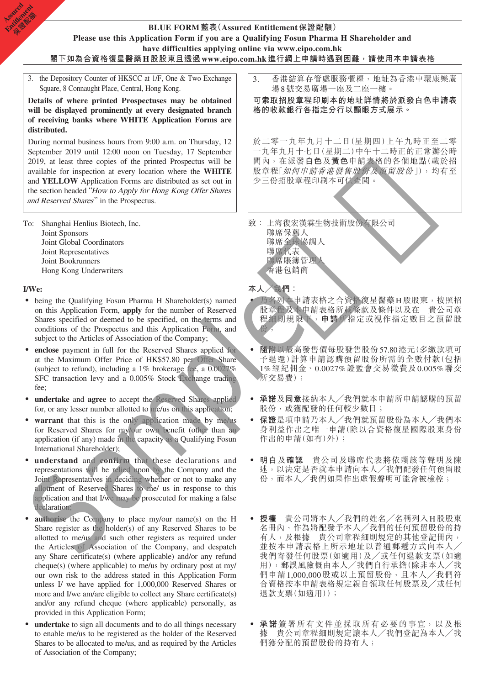### **BLUE FORM藍表(Assured Entitlement保證配額) Please use this Application Form if you are a Qualifying Fosun Pharma H Shareholder and have difficulties applying online via www.eipo.com.hk 閣下如為合資格復星醫藥H股股東且透過www.eipo.com.hk進行網上申請時遇到困難,請使用本申請表格**

3. the Depository Counter of HKSCC at 1/F, One & Two Exchange Square, 8 Connaught Place, Central, Hong Kong.

**Details of where printed Prospectuses may be obtained will be displayed prominently at every designated branch of receiving banks where WHITE Application Forms are distributed.**

During normal business hours from 9:00 a.m. on Thursday, 12 September 2019 until 12:00 noon on Tuesday, 17 September 2019, at least three copies of the printed Prospectus will be available for inspection at every location where the **WHITE** and **YELLOW** Application Forms are distributed as set out in the section headed "How to Apply for Hong Kong Offer Shares and Reserved Shares" in the Prospectus.

To: Shanghai Henlius Biotech, Inc. Joint Sponsors Joint Global Coordinators Joint Representatives Joint Bookrunners Hong Kong Underwriters

### **I/We:**

**Assimed** Entitlement **Company** 

- being the Qualifying Fosun Pharma H Shareholder(s) named on this Application Form, **apply** for the number of Reserved Shares specified or deemed to be specified, on the terms and conditions of the Prospectus and this Application Form, and subject to the Articles of Association of the Company;
- ‧ **enclose** payment in full for the Reserved Shares applied for at the Maximum Offer Price of HK\$57.80 per Offer Share (subject to refund), including a 1% brokerage fee, a 0.0027% SFC transaction levy and a 0.005% Stock Exchange trading fee;
- ‧ **undertake** and **agree** to accept the Reserved Shares applied for, or any lesser number allotted to me/us on this application;
- warrant that this is the only application made by me/us for Reserved Shares for my/our own benefit (other than an application (if any) made in the capacity as a Qualifying Fosun International Shareholder);
- understand and confirm that these declarations and representations will be relied upon by the Company and the Joint Representatives in deciding whether or not to make any allotment of Reserved Shares to me/ us in response to this application and that I/we may be prosecuted for making a false declaration; und NELIOW Application Forms units during the Mathematical Scattering of the Sample Hotel of the Sample Hotel of the Sample Hotel of the Sample Hotel of the Sample Hotel of the Sample Hotel of the Sample Hotel of the Sam
- authorise the Company to place my/our name(s) on the H Share register as the holder(s) of any Reserved Shares to be allotted to me/us and such other registers as required under the Articles of Association of the Company, and despatch any Share certificate(s) (where applicable) and/or any refund cheque(s) (where applicable) to me/us by ordinary post at my/ our own risk to the address stated in this Application Form unless I/ we have applied for 1,000,000 Reserved Shares or more and I/we am/are eligible to collect any Share certificate(s) and/or any refund cheque (where applicable) personally, as provided in this Application Form;
- undertake to sign all documents and to do all things necessary to enable me/us to be registered as the holder of the Reserved Shares to be allocated to me/us, and as required by the Articles of Association of the Company;

3. 香港結算存管處服務櫃檯,地址為香港中環康樂廣 場8號交易廣場一座及二座一樓。

**可索取招股章程印刷本的地址詳情將於派發白色申請表 格的收款銀行各指定分行以顯眼方式展示。**

於二零一九年九月十二日(星期四)上午九時正至二零 一九年九月十七日(星期二)中午十二時正的正常辦公時 間內,在派發**白色**及**黃色**申請表格的各個地點(載於招 股章程「如何申請香港發售股份及預留股份」),均有至 少三份招股章程印刷本可供查閱。

- 致: 上海復宏漢霖生物技術股份有限公司
	- 聯席保薦人 聯席全球協調人 聯席代表 聯席賬簿管理人 香港包銷商

**本人╱我們:**

- ‧ 乃名列本申請表格之合資格復星醫藥H股股東,按照招 股章程及本申請表格所載條款及條件以及在 貴公司章 程細則規限下,**申請**所指定或視作指定數目之預留股 份;
- ‧ **隨附**以最高發售價每股發售股份57.80港元(多繳款項可 予退還)計算申請認購預留股份所需的全數付款(包括 1%經紀佣金、0.0027%證監會交易徵費及0.005%聯交 所交易費);
- ‧ **承諾**及**同意**接納本人╱我們就本申請所申請認購的預留 股份,或獲配發的任何較少數目;
- ‧ **保證**是項申請乃本人╱我們就預留股份為本人╱我們本 身利益作出之唯一申請(除以合資格復星國際股東身份 作出的申請(如有)外);
- ‧ **明白**及**確認** 貴公司及聯席代表將依賴該等聲明及陳 述,以決定是否就本申請向本人╱我們配發任何預留股 份,而本人╱我們如果作出虛假聲明可能會被檢椌;
- ‧ **授權** 貴公司將本人╱我們的姓名╱名稱列入H股股東 名冊內,作為將配發予本人╱我們的任何預留股份的持 有人,及根據 貴公司章程細則規定的其他登記冊內, 並按本申請表格上所示地址以普通郵遞方式向本人╱ 我們寄發任何股票(如適用)及╱或任何退款支票(如適 用),郵誤風險概由本人╱我們自行承擔(除非本人╱我 們申請1,000,000股或以上預留股份,且本人╱我們符 合資格按本申請表格規定親自領取任何股票及╱或任何 退款支票(如適用));
- ‧ **承諾**簽署所有文件並採取所有必要的事宜,以及根 據 貴公司章程細則規定讓本人╱我們登記為本人╱我 們獲分配的預留股份的持有人;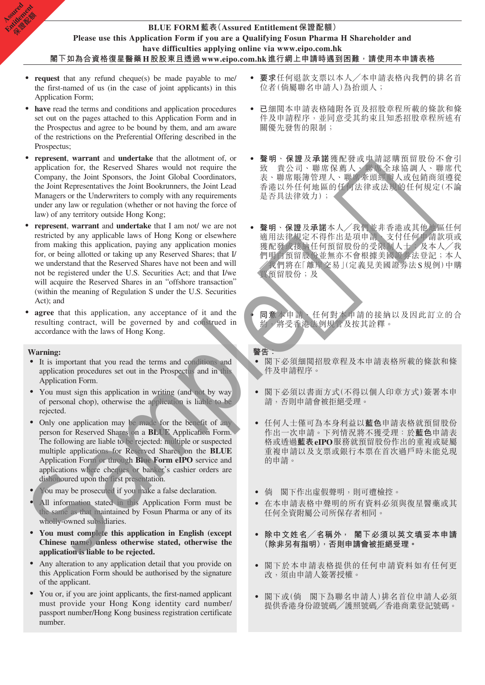## **BLUE FORM藍表(Assured Entitlement保證配額) Please use this Application Form if you are a Qualifying Fosun Pharma H Shareholder and have difficulties applying online via www.eipo.com.hk 閣下如為合資格復星醫藥H股股東且透過www.eipo.com.hk進行網上申請時遇到困難,請使用本申請表格**

- **request** that any refund cheque(s) be made payable to me/ the first-named of us (in the case of joint applicants) in this Application Form;
- have read the terms and conditions and application procedures set out on the pages attached to this Application Form and in the Prospectus and agree to be bound by them, and am aware of the restrictions on the Preferential Offering described in the Prospectus;
- represent, warrant and undertake that the allotment of, or application for, the Reserved Shares would not require the Company, the Joint Sponsors, the Joint Global Coordinators, the Joint Representatives the Joint Bookrunners, the Joint Lead Managers or the Underwriters to comply with any requirements under any law or regulation (whether or not having the force of law) of any territory outside Hong Kong;
- **represent**, **warrant** and **undertake** that I am not/ we are not restricted by any applicable laws of Hong Kong or elsewhere from making this application, paying any application monies for, or being allotted or taking up any Reserved Shares; that I/ we understand that the Reserved Shares have not been and will not be registered under the U.S. Securities Act; and that I/we will acquire the Reserved Shares in an "offshore transaction" (within the meaning of Regulation S under the U.S. Securities Act); and the Animal Research and the Market Schutz<br>
Manages or the Luckevinters to comply with my equinements<br>
of  $\frac{1}{2}$  and  $\frac{1}{2}$  and  $\frac{1}{2}$  and  $\frac{1}{2}$  and  $\frac{1}{2}$  and  $\frac{1}{2}$  and  $\frac{1}{2}$  and  $\frac{1}{2}$  and  $\frac$
- **agree** that this application, any acceptance of it and the resulting contract, will be governed by and construed in accordance with the laws of Hong Kong.

#### **Warning:**

**Assimed** Entitlement **Company** 

- ‧ It is important that you read the terms and conditions and application procedures set out in the Prospectus and in this Application Form.
- You must sign this application in writing (and not by way of personal chop), otherwise the application is liable to be rejected.
- ‧ Only one application may be made for the benefit of any person for Reserved Shares on a **BLUE** Application Form. The following are liable to be rejected: multiple or suspected multiple applications for Reserved Shares on the **BLUE** Application Form or through **Blue Form eIPO** service and applications where cheques or banker's cashier orders are dishonoured upon the first presentation.
- ‧ You may be prosecuted if you make a false declaration.
- All information stated in this Application Form must be the same as that maintained by Fosun Pharma or any of its wholly-owned subsidiaries.
- ‧ **You must complete this application in English (except Chinese name) unless otherwise stated, otherwise the application is liable to be rejected.**
- ‧ Any alteration to any application detail that you provide on this Application Form should be authorised by the signature of the applicant.
- ‧ You or, if you are joint applicants, the first-named applicant must provide your Hong Kong identity card number/ passport number/Hong Kong business registration certificate number.
- ‧ **要求**任何退款支票以本人╱本申請表格內我們的排名首 位者(倘屬聯名申請人)為抬頭人;
- ‧ **已**細閱本申請表格隨附各頁及招股章程所載的條款和條 件及申請程序,並同意受其約束且知悉招股章程所述有 關優先發售的限制;
- ‧ **聲明**、**保證**及**承諾**獲配發或申請認購預留股份不會引 致 貴公司、聯席保薦人、聯席全球協調人、聯席代 表、聯席賬簿管理人、聯席牽頭經辦人或包銷商須遵從 香港以外任何地區的任何法律或法規的任何規定(不論 是否具法律效力);
- ‧ **聲明**、**保證**及**承諾**本人╱我們並非香港或其他地區任何 適用法律規定不得作出是項申請、支付任何申請款項或 獲配發或接納任何預留股份的受限制人士;及本人/我 們明白預留股份並無亦不會根據美國證券法登記;本人 ╱我們將在「離岸交易」(定義見美國證券法S規例)中購 買預留股份;及

‧ **同意**本申請、任何對本申請的接納以及因此訂立的合 約,將受香港法例規管及按其詮釋。

**警告:** 閣下必須細閲招股章程及本申請表格所載的條款和條

- 件及申請程序。
- ‧ 閣下必須以書面方式(不得以個人印章方式)簽署本申 請,否則申請會被拒絕受理。
- ‧ 任何人士僅可為本身利益以**藍色**申請表格就預留股份 作出一次申請。下列情況將不獲受理:於**藍色**申請表 格或透過**藍表eIPO**服務就預留股份作出的重複或疑屬 重複申請以及支票或銀行本票在首次過戶時未能兑現 的申請。
- 倘 閣下作出虛假聲明,則可遭檢控。
- ‧ 在本申請表格中聲明的所有資料必須與復星醫藥或其 任何全資附屬公司所保存者相同。
- ‧ **除中文姓名╱名稱外, 閣下必須以英文填妥本申請 (除非另有指明),否則申請會被拒絕受理。**
- ‧ 閣下於本申請表格提供的任何申請資料如有任何更 改,須由申請人簽署授權。
- ‧ 閣下或(倘 閣下為聯名申請人)排名首位申請人必須 提供香港身份證號碼╱護照號碼╱香港商業登記號碼。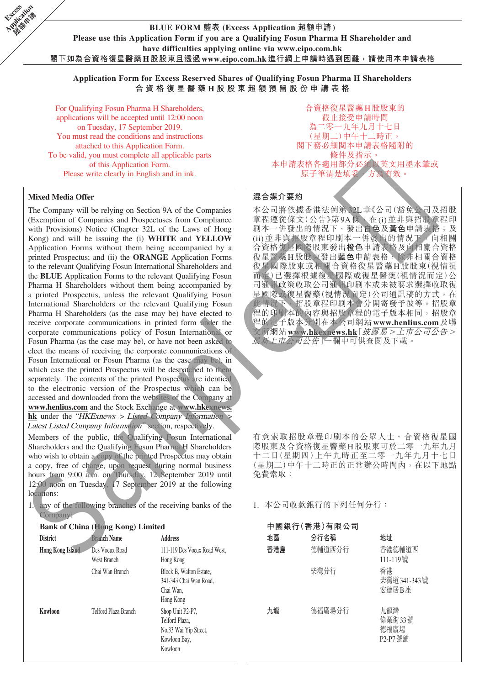**BLUE FORM 藍表 (Excess Application 超額申請) Please use this Application Form if you are a Qualifying Fosun Pharma H Shareholder and have difficulties applying online via www.eipo.com.hk 閣下如為合資格復星醫藥H股股東且透過www.eipo.com.hk進行網上申請時遇到困難,請使用本申請表格**

**Application Form for Excess Reserved Shares of Qualifying Fosun Pharma H Shareholders 合資格復星醫藥 H 股 股東超額預留股份申請表格**

For Qualifying Fosun Pharma H Shareholders, applications will be accepted until 12:00 noon on Tuesday, 17 September 2019. You must read the conditions and instructions attached to this Application Form. To be valid, you must complete all applicable parts of this Application Form. Please write clearly in English and in ink.

#### **Mixed Media Offer**

**Excess Application Called Man** 

> The Company will be relying on Section 9A of the Companies (Exemption of Companies and Prospectuses from Compliance with Provisions) Notice (Chapter 32L of the Laws of Hong Kong) and will be issuing the (i) **WHITE** and **YELLOW** Application Forms without them being accompanied by a printed Prospectus; and (ii) the **ORANGE** Application Forms to the relevant Qualifying Fosun International Shareholders and the **BLUE** Application Forms to the relevant Qualifying Fosun Pharma H Shareholders without them being accompanied by a printed Prospectus, unless the relevant Qualifying Fosun International Shareholders or the relevant Qualifying Fosun Pharma H Shareholders (as the case may be) have elected to receive corporate communications in printed form under the corporate communications policy of Fosun International or Fosun Pharma (as the case may be), or have not been asked to elect the means of receiving the corporate communications of Fosun International or Fosun Pharma (as the case may be), in which case the printed Prospectus will be despatched to them separately. The contents of the printed Prospectus are identical to the electronic version of the Prospectus which can be accessed and downloaded from the websites of the Company at **www.henlius.com** and the Stock Exchange at **www.hkexnews.**  $h$ **k** under the "HKExnews > Listed Company Information Latest Listed Company Information" section, respectively. Mixed Media Offer<br>
> The Company will be reducing to Scalar to of the Companies<br>
> The Company will be reducing to section and companies<br>  $\frac{1}{2}$  and  $\frac{1}{2}$  and  $\frac{1}{2}$  and  $\frac{1}{2}$  and  $\frac{1}{2}$  and  $\frac{1}{2}$  and  $\$

Members of the public, the Qualifying Fosun International Shareholders and the Qualifying Fosun Pharma H Shareholders who wish to obtain a copy of the printed Prospectus may obtain a copy, free of charge, upon request during normal business hours from 9:00 a.m. on Thursday, 12 September 2019 until 12:00 noon on Tuesday, 17 September 2019 at the following locations:

1. any of the following branches of the receiving banks of the Company:

### **Bank of China (Hong Kong) Limited**

| <b>District</b>         | <b>Branch Name</b>            | <b>Address</b>                                                                         |
|-------------------------|-------------------------------|----------------------------------------------------------------------------------------|
| <b>Hong Kong Island</b> | Des Voeux Road<br>West Branch | 111-119 Des Voeux Road West,<br>Hong Kong                                              |
|                         | Chai Wan Branch               | Block B, Walton Estate,<br>341-343 Chai Wan Road,<br>Chai Wan,<br>Hong Kong            |
| Kowloon                 | Telford Plaza Branch          | Shop Unit P2-P7,<br>Telford Plaza,<br>No.33 Wai Yip Street,<br>Kowloon Bay,<br>Kowloon |

合資格復星醫藥H股股東的 截止接受申請時間 為二零一九年九月十七日 (星期二)中午十二時正。 閣下務必細閱本申請表格隨附的 條件及指示。 本申請表格各適用部分必須以英文用墨水筆或 原子筆清楚填妥,方為有效。

#### **混合媒介要約**

本公司將依據香港法例第32L章《公司(豁免公司及招股 章程遵從條文)公告》第9A條, 在(i)並非與招股章程印 刷本一併發出的情況下,發出**白色**及**黃色**申請表格;及 (ii)並非與招股章程印刷本一併發出的情況下,向相關 合資格復星國際股東發出**橙色**申請表格及向相關合資格 復星醫藥H股股東發出**藍色**申請表格,除非相關合資格 復星國際股東或相關合資格復星醫藥H股股東(視情況 而定)已選擇根據復星國際或復星醫藥(視情況而定)公 司通訊政策收取公司通訊印刷本或未被要求選擇收取復 星國際或復星醫藥(視情況而定)公司通訊稿的方式,在 此情況下,招股章程印刷本會分開寄發予彼等。招股章 程的印刷本的內容與招股章程的電子版本相同,招股章 程的電子版本分別在本公司網站**www.henlius.com**及聯 交所網站**www.hkexnews.hk**「披露易>上市公司公告> 最新上市公司公告」一欄中可供查閱及下載。

有意索取招股章程印刷本的公眾人士、合資格復星國 際股東及合資格復星醫藥H股股東可於二零一九年九月 十二日(星期四)上午九時正至二零一九年九月十七日 (星期二)中午十二時正的正常辦公時間內,在以下地點 免費索取:

1. 本公司收款銀行的下列任何分行:

| 中國銀行(香港)有限公司 |        |                                   |  |  |  |  |  |
|--------------|--------|-----------------------------------|--|--|--|--|--|
| 地區           | 分行名稱   | 地址                                |  |  |  |  |  |
| 香港島          | 德輔道西分行 | 香港德輔道西<br>111-119號                |  |  |  |  |  |
|              | 柴灣分行   | 香港<br>柴灣道 341-343號<br>宏德居B座       |  |  |  |  |  |
| 九龍           | 德福廣場分行 | 九龍灣<br>偉業街33號<br>德福廣場<br>P2-P7 號鋪 |  |  |  |  |  |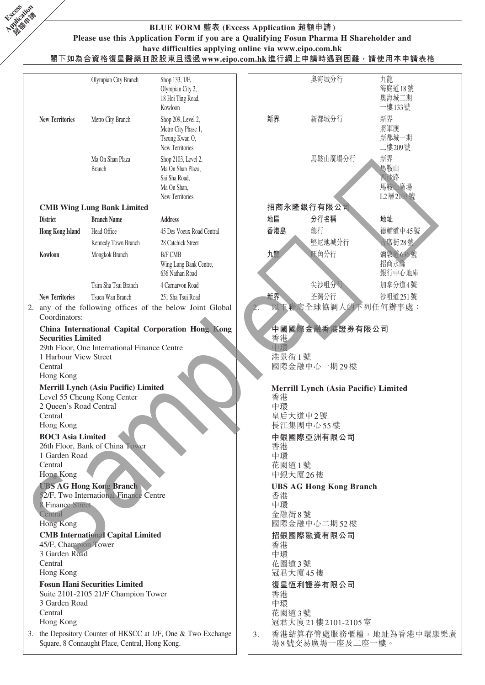

## **BLUE FORM 藍表 (Excess Application 超額申請) Please use this Application Form if you are a Qualifying Fosun Pharma H Shareholder and have difficulties applying online via www.eipo.com.hk**

**閣下如為合資格復星醫藥H股股東且透過www.eipo.com.hk進行網上申請時遇到困難,請使用本申請表格**

|                                                                            | Olympian City Branch                                                | Shop 133, 1/F,<br>Olympian City 2,<br>18 Hoi Ting Road,<br>Kowloon                          |    |                   | 奧海城分行                                | 九龍<br>海庭道18號<br>奧海城二期<br>一樓133號       |
|----------------------------------------------------------------------------|---------------------------------------------------------------------|---------------------------------------------------------------------------------------------|----|-------------------|--------------------------------------|---------------------------------------|
| <b>New Territories</b>                                                     | Metro City Branch                                                   | Shop 209, Level 2,<br>Metro City Phase 1,<br>Tseung Kwan O,<br>New Territories              |    | 新界                | 新都城分行                                | 新界<br>將軍澳<br>新都城一期<br>二樓209號          |
|                                                                            | Ma On Shan Plaza<br><b>Branch</b>                                   | Shop 2103, Level 2,<br>Ma On Shan Plaza,<br>Sai Sha Road,<br>Ma On Shan,<br>New Territories |    |                   | 馬鞍山廣場分行                              | 新界<br>馬鞍山<br>西沙路<br>馬鞍山廣場<br>L2層2103號 |
|                                                                            | <b>CMB Wing Lung Bank Limited</b>                                   |                                                                                             |    |                   | 招商永隆銀行有限公司                           |                                       |
| <b>District</b>                                                            | <b>Branch Name</b>                                                  | <b>Address</b>                                                                              |    | 地區                | 分行名稱                                 | 地址                                    |
| <b>Hong Kong Island</b>                                                    | Head Office                                                         | 45 Des Voeux Road Central                                                                   |    | 香港島               | 總行                                   | 德輔道中45號                               |
|                                                                            | Kennedy Town Branch                                                 | 28 Catchick Street                                                                          |    |                   | 堅尼地城分行                               | 吉席街28號                                |
| Kowloon                                                                    | Mongkok Branch                                                      | <b>B/F CMB</b><br>Wing Lung Bank Centre,<br>636 Nathan Road                                 |    | 九龍                | 旺角分行                                 | 彌敦道636號<br>招商永隆<br>銀行中心地庫             |
|                                                                            | Tsim Sha Tsui Branch                                                | 4 Carnarvon Road                                                                            |    |                   | 尖沙咀分行                                | 加拿分道4號                                |
| <b>New Territories</b>                                                     | Tsuen Wan Branch                                                    | 251 Sha Tsui Road                                                                           |    | 新界                | 荃灣分行                                 | 沙咀道 251號                              |
| Coordinators:                                                              |                                                                     | 2. any of the following offices of the below Joint Global                                   |    |                   | 以下聯席全球協調人的下列任何辦事處:                   |                                       |
| <b>Securities Limited</b><br>1 Harbour View Street<br>Central<br>Hong Kong | 29th Floor, One International Finance Centre                        | China International Capital Corporation Hong Kong                                           |    | 香港<br>中間<br>港景街1號 | 中國國際金融香港證券有限公司<br>國際金融中心一期29樓        |                                       |
| 2 Queen's Road Central                                                     | Merrill Lynch (Asia Pacific) Limited<br>Level 55 Cheung Kong Center |                                                                                             |    | 香港<br>中環          | Merrill Lynch (Asia Pacific) Limited |                                       |
| Central                                                                    |                                                                     |                                                                                             |    |                   | 皇后大道中2號                              |                                       |
| Hong Kong<br><b>BOCI</b> Asia Limited                                      |                                                                     |                                                                                             |    |                   | 長江集團中心55樓<br>中銀國際亞洲有限公司              |                                       |
|                                                                            | 26th Floor, Bank of China Tower                                     |                                                                                             |    | 香港                |                                      |                                       |
| 1 Garden Road<br>Central                                                   |                                                                     |                                                                                             |    | 中環                |                                      |                                       |
| <b>Hong Kong</b>                                                           |                                                                     |                                                                                             |    | 花園道1號<br>中銀大廈26樓  |                                      |                                       |
|                                                                            | <b>UBS AG Hong Kong Branch</b>                                      |                                                                                             |    |                   | <b>UBS AG Hong Kong Branch</b>       |                                       |
| <b>8 Finance Street</b>                                                    | 52/F, Two International Finance Centre                              |                                                                                             |    | 香港<br>中環          |                                      |                                       |
| Central                                                                    |                                                                     |                                                                                             |    | 金融街8號             |                                      |                                       |
| Hong Kong                                                                  |                                                                     |                                                                                             |    |                   | 國際金融中心二期52樓                          |                                       |
| 45/F, Champion Tower                                                       | <b>CMB</b> International Capital Limited                            |                                                                                             |    | 香港                | 招銀國際融資有限公司                           |                                       |
| 3 Garden Road                                                              |                                                                     |                                                                                             |    | 中環                |                                      |                                       |
| Central<br>Hong Kong                                                       |                                                                     |                                                                                             |    | 花園道3號<br>冠君大廈45樓  |                                      |                                       |
|                                                                            | <b>Fosun Hani Securities Limited</b>                                |                                                                                             |    |                   | 復星恆利證券有限公司                           |                                       |
| 3 Garden Road                                                              | Suite 2101-2105 21/F Champion Tower                                 |                                                                                             |    | 香港<br>中環          |                                      |                                       |
| Central                                                                    |                                                                     |                                                                                             |    | 花園道3號             |                                      |                                       |
| Hong Kong                                                                  |                                                                     |                                                                                             |    |                   | 冠君大廈21樓2101-2105室                    |                                       |
|                                                                            | Square, 8 Connaught Place, Central, Hong Kong.                      | 3. the Depository Counter of HKSCC at 1/F, One & Two Exchange                               | 3. |                   | 場8號交易廣場一座及二座一樓。                      | 香港結算存管處服務櫃檯,地址為香港中環康樂廣                |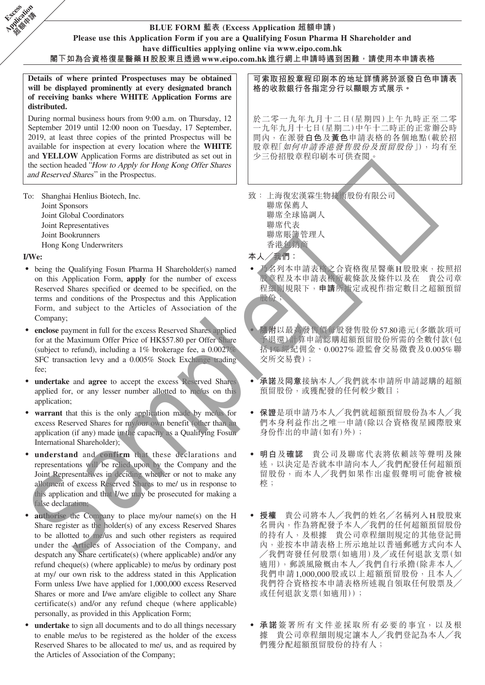# **BLUE FORM 藍表 (Excess Application 超額申請)**

**Please use this Application Form if you are a Qualifying Fosun Pharma H Shareholder and**

**have difficulties applying online via www.eipo.com.hk**

**閣下如為合資格復星醫藥H股股東且透過www.eipo.com.hk進行網上申請時遇到困難,請使用本申請表格**

**Details of where printed Prospectuses may be obtained will be displayed prominently at every designated branch of receiving banks where WHITE Application Forms are distributed.**

During normal business hours from 9:00 a.m. on Thursday, 12 September 2019 until 12:00 noon on Tuesday, 17 September, 2019, at least three copies of the printed Prospectus will be available for inspection at every location where the **WHITE** and **YELLOW** Application Forms are distributed as set out in the section headed "How to Apply for Hong Kong Offer Shares and Reserved Shares" in the Prospectus.

To: Shanghai Henlius Biotech, Inc. Joint Sponsors Joint Global Coordinators Joint Representatives Joint Bookrunners Hong Kong Underwriters

#### **I/We:**

**Excess Application Called Man** 

- being the Qualifying Fosun Pharma H Shareholder(s) named on this Application Form, **apply** for the number of excess Reserved Shares specified or deemed to be specified, on the terms and conditions of the Prospectus and this Application Form, and subject to the Articles of Association of the Company;
- enclose payment in full for the excess Reserved Shares applied for at the Maximum Offer Price of HK\$57.80 per Offer Share (subject to refund), including a 1% brokerage fee, a 0.0027% SFC transaction levy and a 0.005% Stock Exchange trading fee;
- undertake and agree to accept the excess Reserved Shares applied for, or any lesser number allotted to me/us on this application;
- warrant that this is the only application made by me/us for excess Reserved Shares for my/our own benefit (other than an application (if any) made in the capacity as a Qualifying Fosun International Shareholder);
- understand and confirm that these declarations and representations will be relied upon by the Company and the Joint Representatives in deciding whether or not to make any allotment of excess Reserved Shares to me/ us in response to this application and that I/we may be prosecuted for making a false declaration; The Shanglei Healine Ricecol, Inc. 2013 (2014)<br>
Joint Gholal Coordinators specifically and the specifical of the specifical of the specifical of the properties<br>
Health Coordinators specifical of the properties specifical
- **authorise** the Company to place my/our name(s) on the H Share register as the holder(s) of any excess Reserved Shares to be allotted to me/us and such other registers as required under the Articles of Association of the Company, and despatch any Share certificate(s) (where applicable) and/or any refund cheque(s) (where applicable) to me/us by ordinary post at my/ our own risk to the address stated in this Application Form unless I/we have applied for 1,000,000 excess Reserved Shares or more and I/we am/are eligible to collect any Share certificate(s) and/or any refund cheque (where applicable) personally, as provided in this Application Form;
- **undertake** to sign all documents and to do all things necessary to enable me/us to be registered as the holder of the excess Reserved Shares to be allocated to me/ us, and as required by the Articles of Association of the Company;

**可索取招股章程印刷本的地址詳情將於派發白色申請表 格的收款銀行各指定分行以顯眼方式展示。**

於二零一九年九月十二日(星期四)上午九時正至二零 一九年九月十七日(星期二)中午十二時正的正常辦公時 間內,在派發**白色**及**黃色**申請表格的各個地點(載於招 股章程「如何申請香港發售股份及預留股份」),均有至 少三份招股章程印刷本可供查閱。

致: 上海復宏漢霖生物技術股份有限公司 聯席保薦人 聯席全球協調人 聯席代表 聯席賬簿管理人 香港包銷商

**本人╱我們:**

- ‧ 乃名列本申請表格之合資格復星醫藥H股股東,按照招 股章程及本申請表格所載條款及條件以及在 貴公司章 程細則規限下,**申請**所指定或視作指定數目之超額預留 股份;
- ‧ **隨附**以最高發售價每股發售股份57.80港元(多繳款項可 予退還)計算申請認購超額預留股份所需的全數付款(包 括1%經紀佣金、0.0027%證監會交易徵費及0.005%聯 交所交易費);
- ‧ **承諾**及**同意**接納本人╱我們就本申請所申請認購的超額 預留股份,或獲配發的任何較少數目;
- ‧ **保證**是項申請乃本人╱我們就超額預留股份為本人╱我 們本身利益作出之唯一申請(除以合資格復星國際股東 身份作出的申請(如有)外);
- ‧ **明白**及**確認** 貴公司及聯席代表將依賴該等聲明及陳 述,以決定是否就本申請向本人╱我們配發任何超額預 留股份,而本人╱我們如果作出虛假聲明可能會被檢 椌;
- ‧ **授權** 貴公司將本人╱我們的姓名╱名稱列入H股股東 名冊內,作為將配發予本人╱我們的任何超額預留股份 的持有人,及根據 貴公司章程細則規定的其他登記冊 內,並按本申請表格上所示地址以普通郵遞方式向本人 ╱我們寄發任何股票(如適用)及╱或任何退款支票(如 適用),郵誤風險概由本人╱我們自行承擔(除非本人╱ 我們申請1,000,000股或以上超額預留股份,且本人 我們符合資格按本申請表格所述親自領取任何股票及 或任何退款支票(如適用));
- ‧ **承諾**簽署所有文件並採取所有必要的事宜,以及根 貴公司章程細則規定讓本人/我們登記為本人/我 們獲分配超額預留股份的持有人;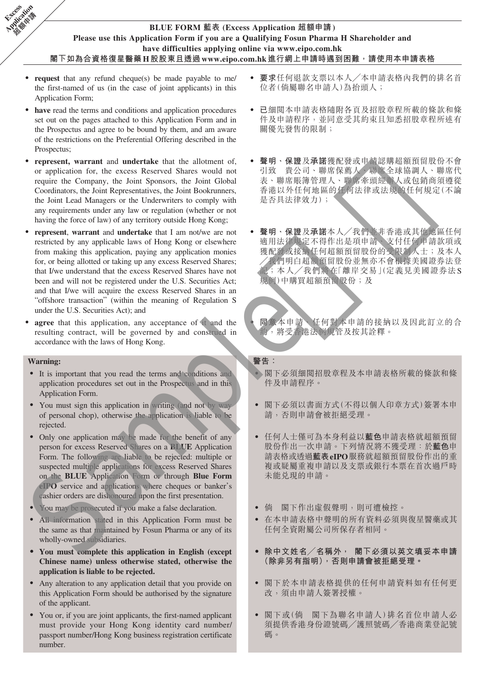## **BLUE FORM 藍表 (Excess Application 超額申請) Please use this Application Form if you are a Qualifying Fosun Pharma H Shareholder and have difficulties applying online via www.eipo.com.hk 閣下如為合資格復星醫藥H股股東且透過www.eipo.com.hk進行網上申請時遇到困難,請使用本申請表格**

- ‧ **request** that any refund cheque(s) be made payable to me/ the first-named of us (in the case of joint applicants) in this Application Form;
- have read the terms and conditions and application procedures set out on the pages attached to this Application Form and in the Prospectus and agree to be bound by them, and am aware of the restrictions on the Preferential Offering described in the Prospectus;
- ‧ **represent, warrant** and **undertake** that the allotment of, or application for, the excess Reserved Shares would not require the Company, the Joint Sponsors, the Joint Global Coordinators, the Joint Representatives, the Joint Bookrunners, the Joint Lead Managers or the Underwriters to comply with any requirements under any law or regulation (whether or not having the force of law) of any territory outside Hong Kong;
- **represent**, **warrant** and **undertake** that I am not/we are not restricted by any applicable laws of Hong Kong or elsewhere from making this application, paying any application monies for, or being allotted or taking up any excess Reserved Shares; that I/we understand that the excess Reserved Shares have not been and will not be registered under the U.S. Securities Act; and that I/we will acquire the excess Reserved Shares in an "offshore transaction" (within the meaning of Regulation S under the U.S. Securities Act); and conditions. the United Warrelies of the United Scale of the Warrelies (Equive 2) the properties of the United Warrelies of the United Scale of the United Scale of the United Scale of the United Scale of the United Scale
- agree that this application, any acceptance of it and the resulting contract, will be governed by and construed in accordance with the laws of Hong Kong.

#### **Warning:**

**Excess Application Called Man** 

- ‧ It is important that you read the terms and conditions and application procedures set out in the Prospectus and in this Application Form.
- You must sign this application in writing (and not by way of personal chop), otherwise the application is liable to be rejected.
- Only one application may be made for the benefit of any person for excess Reserved Shares on a **BLUE** Application Form. The following are liable to be rejected: multiple or suspected multiple applications for excess Reserved Shares on the **BLUE** Application Form or through **Blue Form eIPO** service and applications where cheques or banker's cashier orders are dishonoured upon the first presentation.
- ‧ You may be prosecuted if you make a false declaration.
- ‧ All information stated in this Application Form must be the same as that maintained by Fosun Pharma or any of its wholly-owned subsidiaries.
- **‧ You must complete this application in English (except Chinese name) unless otherwise stated, otherwise the application is liable to be rejected.**
- Any alteration to any application detail that you provide on this Application Form should be authorised by the signature of the applicant.
- ‧ You or, if you are joint applicants, the first-named applicant must provide your Hong Kong identity card number/ passport number/Hong Kong business registration certificate number.
- ‧ **要求**任何退款支票以本人╱本申請表格內我們的排名首 位者(倘屬聯名申請人)為抬頭人;
- 已細閱本申請表格隨附各頁及招股章程所載的條款和條 件及申請程序,並同意受其約束且知悉招股章程所述有 關優先發售的限制;
- ‧ **聲明、保證**及**承諾**獲配發或申請認購超額預留股份不會 引致 貴公司、聯席保薦人、聯席全球協調人、聯席代 表、聯席賬簿管理人、聯席牽頭經辦人或包銷商須遵從 香港以外任何地區的任何法律或法規的任何規定(不論 是否具法律效力);
- ‧ **聲明、保證**及**承諾**本人╱我們並非香港或其他地區任何 適用法律規定不得作出是項申請、支付任何申請款項或 獲配發或接納任何超額預留股份的受限制人士;及本人 ╱我們明白超額預留股份並無亦不會根據美國證券法登 記;本人╱我們將在「離岸交易」(定義見美國證券法S 規例)中購買超額預留股份;及
	- ‧ **同意**本申請、任何對本申請的接納以及因此訂立的合 約,將受香港法例規管及按其詮釋。

## **警告:**

- ‧ 閣下必須細閱招股章程及本申請表格所載的條款和條 件及申請程序。
- ‧ 閣下必須以書面方式(不得以個人印章方式)簽署本申 請,否則申請會被拒絕受理。
- ‧ 任何人士僅可為本身利益以**藍色**申請表格就超額預留 股份作出一次申請。下列情況將不獲受理:於**藍色**申 請表格或透過**藍表eIPO**服務就超額預留股份作出的重 複或疑屬重複申請以及支票或銀行本票在首次過戶時 未能兌現的申請。
- ‧ 倘 閣下作出虛假聲明,則可遭檢控。
- 在本申請表格中聲明的所有資料必須與復星醫藥或其 任何全資附屬公司所保存者相同。
- **‧ 除中文姓名╱名稱外, 閣下必須以英文填妥本申請 (除非另有指明),否則申請會被拒絕受理。**
- ‧ 閣下於本申請表格提供的任何申請資料如有任何更 改,須由申請人簽署授權。
- ‧ 閣下或(倘 閣下為聯名申請人)排名首位申請人必 須提供香港身份證號碼╱護照號碼╱香港商業登記號 碼。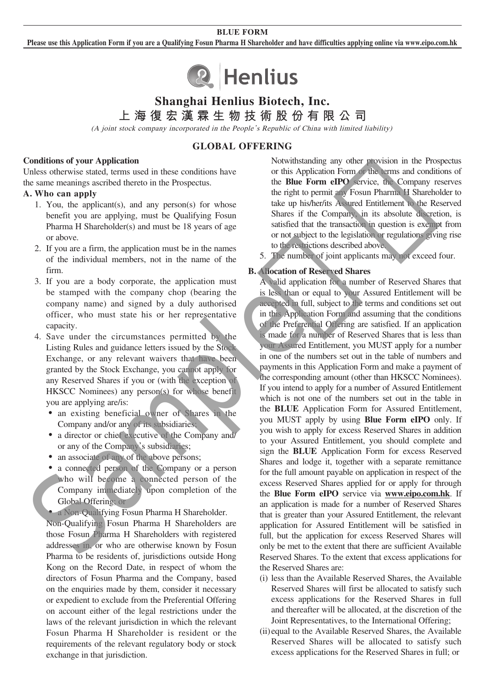#### **BLUE FORM**

**Please use this Application Form if you are a Qualifying Fosun Pharma H Shareholder and have difficulties applying online via www.eipo.com.hk**



# **Shanghai Henlius Biotech, Inc.**

**上海復宏漢霖生物技術股份有限公司**

(A joint stock company incorporated in the People's Republic of China with limited liability)

## **GLOBAL OFFERING**

#### **Conditions of your Application**

Unless otherwise stated, terms used in these conditions have the same meanings ascribed thereto in the Prospectus.

### **A. Who can apply**

- 1. You, the applicant(s), and any person(s) for whose benefit you are applying, must be Qualifying Fosun Pharma H Shareholder(s) and must be 18 years of age or above.
- 2. If you are a firm, the application must be in the names of the individual members, not in the name of the firm.
- 3. If you are a body corporate, the application must be stamped with the company chop (bearing the company name) and signed by a duly authorised officer, who must state his or her representative capacity.
- 4. Save under the circumstances permitted by the Listing Rules and guidance letters issued by the Stock Exchange, or any relevant waivers that have been granted by the Stock Exchange, you cannot apply for any Reserved Shares if you or (with the exception of HKSCC Nominees) any person(s) for whose benefit you are applying are/is:
	- an existing beneficial owner of Shares in the Company and/or any of its subsidiaries;
	- ‧ a director or chief executive of the Company and/ or any of the Company's subsidiaries;
	- an associate of any of the above persons;
	- a connected person of the Company or a person who will become a connected person of the Company immediately upon completion of the Global Offering; or
	- a Non-Qualifying Fosun Pharma H Shareholder.

 Non-Qualifying Fosun Pharma H Shareholders are those Fosun Pharma H Shareholders with registered addresses in, or who are otherwise known by Fosun Pharma to be residents of, jurisdictions outside Hong Kong on the Record Date, in respect of whom the directors of Fosun Pharma and the Company, based on the enquiries made by them, consider it necessary or expedient to exclude from the Preferential Offering on account either of the legal restrictions under the laws of the relevant jurisdiction in which the relevant Fosun Pharma H Shareholder is resident or the requirements of the relevant regulatory body or stock exchange in that jurisdiction.

Notwithstanding any other provision in the Prospectus or this Application Form or the terms and conditions of the **Blue Form eIPO** service, the Company reserves the right to permit any Fosun Pharma H Shareholder to take up his/her/its Assured Entitlement to the Reserved Shares if the Company, in its absolute discretion, is satisfied that the transaction in question is exempt from or not subject to the legislation or regulations giving rise to the restrictions described above.

5. The number of joint applicants may not exceed four.

#### **B. Allocation of Reserved Shares**

 A valid application for a number of Reserved Shares that is less than or equal to your Assured Entitlement will be accepted in full, subject to the terms and conditions set out in this Application Form and assuming that the conditions of the Preferential Offering are satisfied. If an application is made for a number of Reserved Shares that is less than your Assured Entitlement, you MUST apply for a number in one of the numbers set out in the table of numbers and payments in this Application Form and make a payment of the corresponding amount (other than HKSCC Nominees). If you intend to apply for a number of Assured Entitlement which is not one of the numbers set out in the table in the **BLUE** Application Form for Assured Entitlement, you MUST apply by using **Blue Form eIPO** only. If you wish to apply for excess Reserved Shares in addition to your Assured Entitlement, you should complete and sign the **BLUE** Application Form for excess Reserved Shares and lodge it, together with a separate remittance for the full amount payable on application in respect of the excess Reserved Shares applied for or apply for through the **Blue Form eIPO** service via **www.eipo.com.hk**. If an application is made for a number of Reserved Shares that is greater than your Assured Entitlement, the relevant application for Assured Entitlement will be satisfied in full, but the application for excess Reserved Shares will only be met to the extent that there are sufficient Available Reserved Shares. To the extent that excess applications for the Reserved Shares are: The same meaning accelerate the entropy that is the state of the constant in the state of the state of the state of the state of the constant in the state of the state of the state of the state of the state of the state o

- (i) less than the Available Reserved Shares, the Available Reserved Shares will first be allocated to satisfy such excess applications for the Reserved Shares in full and thereafter will be allocated, at the discretion of the Joint Representatives, to the International Offering;
- (ii) equal to the Available Reserved Shares, the Available Reserved Shares will be allocated to satisfy such excess applications for the Reserved Shares in full; or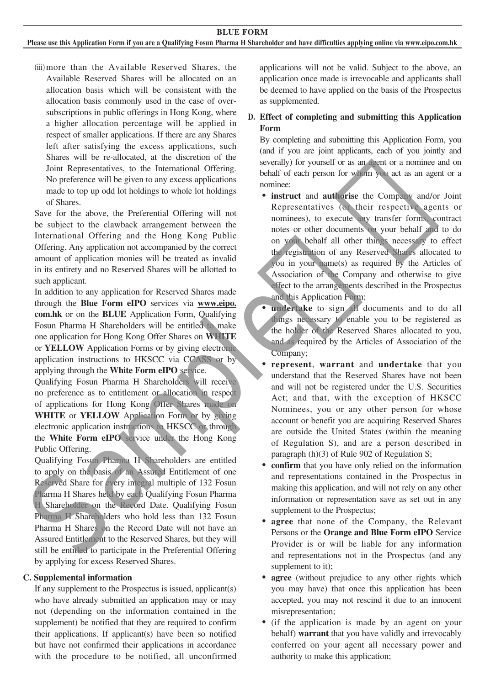#### **Please use this Application Form if you are a Qualifying Fosun Pharma H Shareholder and have difficulties applying online via www.eipo.com.hk**

(iii) more than the Available Reserved Shares, the Available Reserved Shares will be allocated on an allocation basis which will be consistent with the allocation basis commonly used in the case of oversubscriptions in public offerings in Hong Kong, where a higher allocation percentage will be applied in respect of smaller applications. If there are any Shares left after satisfying the excess applications, such Shares will be re-allocated, at the discretion of the Joint Representatives, to the International Offering. No preference will be given to any excess applications made to top up odd lot holdings to whole lot holdings of Shares.

Save for the above, the Preferential Offering will not be subject to the clawback arrangement between the International Offering and the Hong Kong Public Offering. Any application not accompanied by the correct amount of application monies will be treated as invalid in its entirety and no Reserved Shares will be allotted to such applicant.

In addition to any application for Reserved Shares made through the **Blue Form eIPO** services via **www.eipo. com.hk** or on the **BLUE** Application Form, Qualifying Fosun Pharma H Shareholders will be entitled to make one application for Hong Kong Offer Shares on **WHITE** or **YELLOW** Application Forms or by giving electronic application instructions to HKSCC via CCASS or by applying through the **White Form eIPO** service.

Qualifying Fosun Pharma H Shareholders will receive no preference as to entitlement or allocation in respect of applications for Hong Kong Offer Shares made on **WHITE** or **YELLOW** Application Form or by giving electronic application instructions to HKSCC or through the **White Form eIPO** service under the Hong Kong Public Offering.

Qualifying Fosun Pharma H Shareholders are entitled to apply on the basis of an Assured Entitlement of one Reserved Share for every integral multiple of 132 Fosun Pharma H Shares held by each Qualifying Fosun Pharma H Shareholder on the Record Date. Qualifying Fosun Pharma H Shareholders who hold less than 132 Fosun Pharma H Shares on the Record Date will not have an Assured Entitlement to the Reserved Shares, but they will still be entitled to participate in the Preferential Offering by applying for excess Reserved Shares.

#### **C. Supplemental information**

If any supplement to the Prospectus is issued, applicant(s) who have already submitted an application may or may not (depending on the information contained in the supplement) be notified that they are required to confirm their applications. If applicant(s) have been so notified but have not confirmed their applications in accordance with the procedure to be notified, all unconfirmed

applications will not be valid. Subject to the above, an application once made is irrevocable and applicants shall be deemed to have applied on the basis of the Prospectus as supplemented.

## **D. Effect of completing and submitting this Application Form**

By completing and submitting this Application Form, you (and if you are joint applicants, each of you jointly and severally) for yourself or as an agent or a nominee and on behalf of each person for whom you act as an agent or a nominee:

‧ **instruct** and **authorise** the Company and/or Joint Representatives (or their respective agents or nominees), to execute any transfer forms, contract notes or other documents on your behalf and to do on your behalf all other things necessary to effect the registration of any Reserved Shares allocated to you in your name(s) as required by the Articles of Association of the Company and otherwise to give effect to the arrangements described in the Prospectus and this Application Form; Assessment with the present of particular control in the proposition of the matter of the solution of the solution of the control in the solution of the solution of the solution of the solution of the solution of the solu

**undertake** to sign all documents and to do all things necessary to enable you to be registered as the holder of the Reserved Shares allocated to you, and as required by the Articles of Association of the Company;

- ‧ **represent**, **warrant** and **undertake** that you understand that the Reserved Shares have not been and will not be registered under the U.S. Securities Act; and that, with the exception of HKSCC Nominees, you or any other person for whose account or benefit you are acquiring Reserved Shares are outside the United States (within the meaning of Regulation S), and are a person described in paragraph (h)(3) of Rule 902 of Regulation S;
- **confirm** that you have only relied on the information and representations contained in the Prospectus in making this application, and will not rely on any other information or representation save as set out in any supplement to the Prospectus;
- ‧ **agree** that none of the Company, the Relevant Persons or the **Orange and Blue Form eIPO** Service Provider is or will be liable for any information and representations not in the Prospectus (and any supplement to it);
- **agree** (without prejudice to any other rights which you may have) that once this application has been accepted, you may not rescind it due to an innocent misrepresentation;
- ‧ (if the application is made by an agent on your behalf) **warrant** that you have validly and irrevocably conferred on your agent all necessary power and authority to make this application;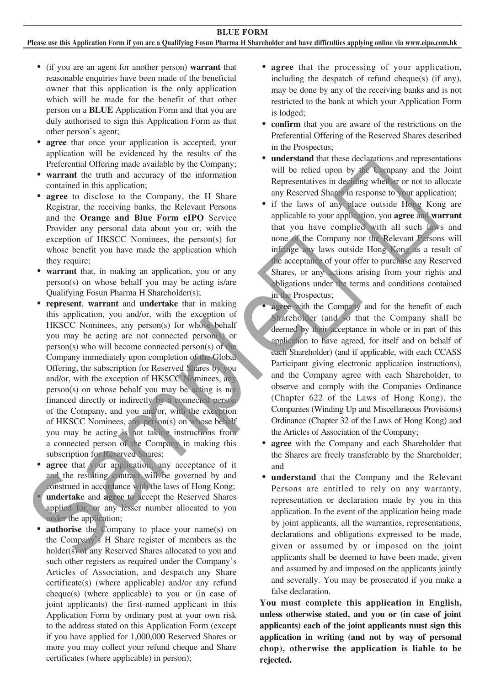#### **Please use this Application Form if you are a Qualifying Fosun Pharma H Shareholder and have difficulties applying online via www.eipo.com.hk**

- ‧ (if you are an agent for another person) **warrant** that reasonable enquiries have been made of the beneficial owner that this application is the only application which will be made for the benefit of that other person on a **BLUE** Application Form and that you are duly authorised to sign this Application Form as that other person's agent;
- **agree** that once your application is accepted, your application will be evidenced by the results of the Preferential Offering made available by the Company;
- **warrant** the truth and accuracy of the information contained in this application;
- **agree** to disclose to the Company, the H Share Registrar, the receiving banks, the Relevant Persons and the **Orange and Blue Form eIPO** Service Provider any personal data about you or, with the exception of HKSCC Nominees, the person(s) for whose benefit you have made the application which they require;
- **warrant** that, in making an application, you or any person(s) on whose behalf you may be acting is/are Qualifying Fosun Pharma H Shareholder(s);
- **represent**, **warrant** and **undertake** that in making this application, you and/or, with the exception of HKSCC Nominees, any person(s) for whose behalf you may be acting are not connected person(s) or person(s) who will become connected person(s) of the Company immediately upon completion of the Global Offering, the subscription for Reserved Shares by you and/or, with the exception of HKSCC Nominees, any person(s) on whose behalf you may be acting is not financed directly or indirectly by a connected person of the Company, and you and/or, with the exception of HKSCC Nominees, any person(s) on whose behalf you may be acting is not taking instructions from a connected person of the Company in making this subscription for Reserved Shares; contained in this explicition in the exception of the Coupany, the H. Share and Newton's in response to your application, and the Orangay, the H. Share and Newton Researct Shares in response to your application, you agree
	- agree that your application, any acceptance of it and the resulting contract will be governed by and construed in accordance with the laws of Hong Kong; undertake and **agree** to accept the Reserved Shares applied for, or any lesser number allocated to you under the application;
	- **authorise** the Company to place your name(s) on the Company's H Share register of members as the holder(s) of any Reserved Shares allocated to you and such other registers as required under the Company's Articles of Association, and despatch any Share certificate(s) (where applicable) and/or any refund cheque(s) (where applicable) to you or (in case of joint applicants) the first-named applicant in this Application Form by ordinary post at your own risk to the address stated on this Application Form (except if you have applied for 1,000,000 Reserved Shares or more you may collect your refund cheque and Share certificates (where applicable) in person);
- ‧ **agree** that the processing of your application, including the despatch of refund cheque(s) (if any), may be done by any of the receiving banks and is not restricted to the bank at which your Application Form is lodged;
- ‧ **confirm** that you are aware of the restrictions on the Preferential Offering of the Reserved Shares described in the Prospectus;
- ‧ **understand** that these declarations and representations will be relied upon by the Company and the Joint Representatives in deciding whether or not to allocate any Reserved Shares in response to your application;
- if the laws of any place outside Hong Kong are applicable to your application, you **agree** and **warrant** that you have complied with all such laws and none of the Company nor the Relevant Persons will infringe any laws outside Hong Kong as a result of the acceptance of your offer to purchase any Reserved Shares, or any actions arising from your rights and obligations under the terms and conditions contained in the Prospectus;
- **agree** with the Company and for the benefit of each Shareholder (and so that the Company shall be deemed by their acceptance in whole or in part of this application to have agreed, for itself and on behalf of each Shareholder) (and if applicable, with each CCASS Participant giving electronic application instructions), and the Company agree with each Shareholder, to observe and comply with the Companies Ordinance (Chapter 622 of the Laws of Hong Kong), the Companies (Winding Up and Miscellaneous Provisions) Ordinance (Chapter 32 of the Laws of Hong Kong) and the Articles of Association of the Company;
- ‧ **agree** with the Company and each Shareholder that the Shares are freely transferable by the Shareholder; and
- ‧ **understand** that the Company and the Relevant Persons are entitled to rely on any warranty, representation or declaration made by you in this application. In the event of the application being made by joint applicants, all the warranties, representations, declarations and obligations expressed to be made, given or assumed by or imposed on the joint applicants shall be deemed to have been made, given and assumed by and imposed on the applicants jointly and severally. You may be prosecuted if you make a false declaration.

**You must complete this application in English, unless otherwise stated, and you or (in case of joint applicants) each of the joint applicants must sign this application in writing (and not by way of personal chop), otherwise the application is liable to be rejected.**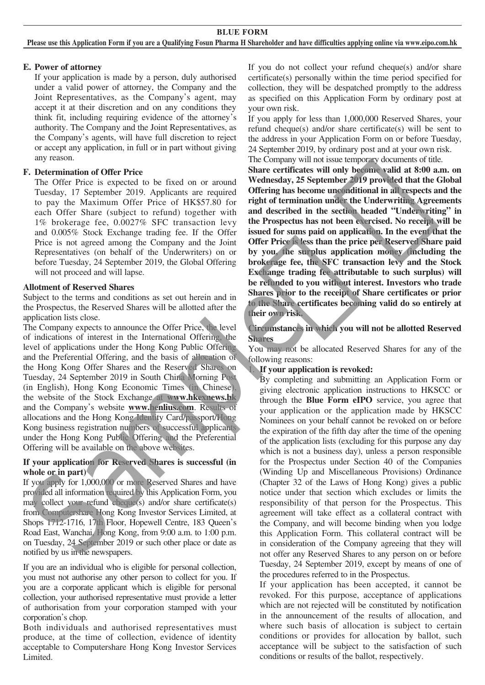**BLUE FORM Please use this Application Form if you are a Qualifying Fosun Pharma H Shareholder and have difficulties applying online via www.eipo.com.hk**

### **E. Power of attorney**

If your application is made by a person, duly authorised under a valid power of attorney, the Company and the Joint Representatives, as the Company's agent, may accept it at their discretion and on any conditions they think fit, including requiring evidence of the attorney's authority. The Company and the Joint Representatives, as the Company's agents, will have full discretion to reject or accept any application, in full or in part without giving any reason.

## **F. Determination of Offer Price**

The Offer Price is expected to be fixed on or around Tuesday, 17 September 2019. Applicants are required to pay the Maximum Offer Price of HK\$57.80 for each Offer Share (subject to refund) together with 1% brokerage fee, 0.0027% SFC transaction levy and 0.005% Stock Exchange trading fee. If the Offer Price is not agreed among the Company and the Joint Representatives (on behalf of the Underwriters) on or before Tuesday, 24 September 2019, the Global Offering will not proceed and will lapse.

### **Allotment of Reserved Shares**

Subject to the terms and conditions as set out herein and in the Prospectus, the Reserved Shares will be allotted after the application lists close.

The Company expects to announce the Offer Price, the level of indications of interest in the International Offering, the level of applications under the Hong Kong Public Offering and the Preferential Offering, and the basis of allocation of the Hong Kong Offer Shares and the Reserved Shares on Tuesday, 24 September 2019 in South China Morning Post (in English), Hong Kong Economic Times (in Chinese), the website of the Stock Exchange at **www.hkexnews.hk** and the Company's website **www.henlius.com**. Results of allocations and the Hong Kong Identity Card/passport/Hong Kong business registration numbers of successful applicants under the Hong Kong Public Offering and the Preferential Offering will be available on the above websites.

### **If your application for Reserved Shares is successful (in whole or in part)**

If you apply for 1,000,000 or more Reserved Shares and have provided all information required by this Application Form, you may collect your refund cheque(s) and/or share certificate(s) from Computershare Hong Kong Investor Services Limited, at Shops 1712-1716, 17th Floor, Hopewell Centre, 183 Queen's Road East, Wanchai, Hong Kong, from 9:00 a.m. to 1:00 p.m. on Tuesday, 24 September 2019 or such other place or date as notified by us in the newspapers.

If you are an individual who is eligible for personal collection, you must not authorise any other person to collect for you. If you are a corporate applicant which is eligible for personal collection, your authorised representative must provide a letter of authorisation from your corporation stamped with your corporation's chop.

Both individuals and authorised representatives must produce, at the time of collection, evidence of identity acceptable to Computershare Hong Kong Investor Services Limited.

If you do not collect your refund cheque(s) and/or share certificate(s) personally within the time period specified for collection, they will be despatched promptly to the address as specified on this Application Form by ordinary post at your own risk.

If you apply for less than 1,000,000 Reserved Shares, your refund cheque(s) and/or share certificate(s) will be sent to the address in your Application Form on or before Tuesday, 24 September 2019, by ordinary post and at your own risk. The Company will not issue temporary documents of title.

**Share certificates will only become valid at 8:00 a.m. on Wednesday, 25 September 2019 provided that the Global Offering has become unconditional in all respects and the right of termination under the Underwriting Agreements and described in the section headed "Underwriting" in the Prospectus has not been exercised. No receipt will be issued for sums paid on application. In the event that the Offer Price is less than the price per Reserved Share paid by you, the surplus application money (including the brokerage fee, the SFC transaction levy and the Stock Exchange trading fee attributable to such surplus) will be refunded to you without interest. Investors who trade Shares prior to the receipt of Share certificates or prior to the Share certificates becoming valid do so entirely at their own risk.**

**Circumstances in which you will not be allotted Reserved Shares**

You may not be allocated Reserved Shares for any of the following reasons:

## 1. **If your application is revoked:**

By completing and submitting an Application Form or giving electronic application instructions to HKSCC or through the **Blue Form eIPO** service, you agree that your application or the application made by HKSCC Nominees on your behalf cannot be revoked on or before the expiration of the fifth day after the time of the opening of the application lists (excluding for this purpose any day which is not a business day), unless a person responsible for the Prospectus under Section 40 of the Companies (Winding Up and Miscellaneous Provisions) Ordinance (Chapter 32 of the Laws of Hong Kong) gives a public notice under that section which excludes or limits the responsibility of that person for the Prospectus. This agreement will take effect as a collateral contract with the Company, and will become binding when you lodge this Application Form. This collateral contract will be in consideration of the Company agreeing that they will not offer any Reserved Shares to any person on or before Tuesday, 24 September 2019, except by means of one of the procedures referred to in the Prospectus. The OFF Prior is expected to be first on or around Wethesty. 25 september 2019. Applicants are required **Offering has become unconditional in all respects and the Tucky of the Copyre Maximum Offer Price of HKS57,80 for "p** 

If your application has been accepted, it cannot be revoked. For this purpose, acceptance of applications which are not rejected will be constituted by notification in the announcement of the results of allocation, and where such basis of allocation is subject to certain conditions or provides for allocation by ballot, such acceptance will be subject to the satisfaction of such conditions or results of the ballot, respectively.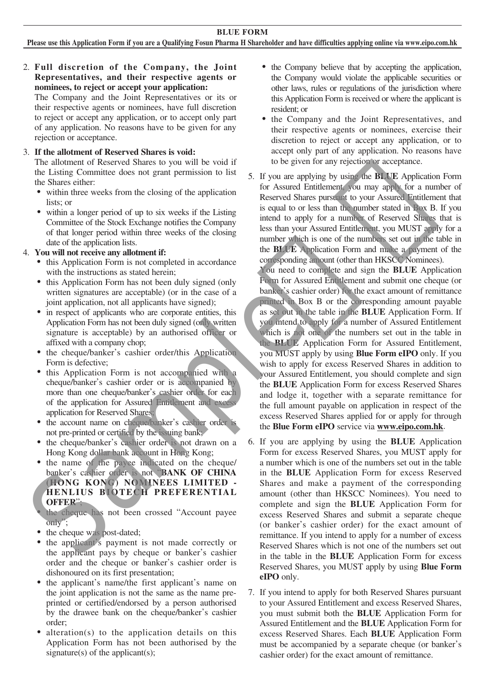## 2. **Full discretion of the Company, the Joint Representatives, and their respective agents or nominees, to reject or accept your application:**

The Company and the Joint Representatives or its or their respective agents or nominees, have full discretion to reject or accept any application, or to accept only part of any application. No reasons have to be given for any rejection or acceptance.

## 3. **If the allotment of Reserved Shares is void:**

The allotment of Reserved Shares to you will be void if the Listing Committee does not grant permission to list the Shares either:

- within three weeks from the closing of the application lists; or
- within a longer period of up to six weeks if the Listing Committee of the Stock Exchange notifies the Company of that longer period within three weeks of the closing date of the application lists.

### 4. **You will not receive any allotment if:**

- ‧ this Application Form is not completed in accordance with the instructions as stated herein;
- this Application Form has not been duly signed (only written signatures are acceptable) (or in the case of a joint application, not all applicants have signed);
- in respect of applicants who are corporate entities, this Application Form has not been duly signed (only written signature is acceptable) by an authorised officer or affixed with a company chop;
- the cheque/banker's cashier order/this Application Form is defective;
- ‧ this Application Form is not accompanied with a cheque/banker's cashier order or is accompanied by more than one cheque/banker's cashier order for each of the application for Assured Entitlement and excess application for Reserved Shares;
- the account name on cheque/banker's cashier order is not pre-printed or certified by the issuing bank;
- the cheque/banker's cashier order is not drawn on a Hong Kong dollar bank account in Hong Kong;
- the name of the payee indicated on the cheque/ banker's cashier order is not "**BANK OF CHINA (HONG KONG) NOMINEES LIMITED - HENLIUS BIOTECH PREFERENTIAL OFFER**";
- the cheque has not been crossed "Account payee only";
- the cheque was post-dated;
- the applicant's payment is not made correctly or the applicant pays by cheque or banker's cashier order and the cheque or banker's cashier order is dishonoured on its first presentation;
- the applicant's name/the first applicant's name on the joint application is not the same as the name preprinted or certified/endorsed by a person authorised by the drawee bank on the cheque/banker's cashier order;
- $alternation(s)$  to the application details on this Application Form has not been authorised by the signature(s) of the applicant(s);
- the Company believe that by accepting the application, the Company would violate the applicable securities or other laws, rules or regulations of the jurisdiction where this Application Form is received or where the applicant is resident; or
- ‧ the Company and the Joint Representatives, and their respective agents or nominees, exercise their discretion to reject or accept any application, or to accept only part of any application. No reasons have to be given for any rejection or acceptance.

5. If you are applying by using the **BLUE** Application Form for Assured Entitlement, you may apply for a number of Reserved Shares pursuant to your Assured Entitlement that is equal to or less than the number stated in Box B. If you intend to apply for a number of Reserved Shares that is less than your Assured Entitlement, you MUST apply for a number which is one of the numbers set out in the table in the **BLUE** Application Form and make a payment of the corresponding amount (other than HKSCC Nominees).

You need to complete and sign the **BLUE** Application Form for Assured Entitlement and submit one cheque (or banker's cashier order) for the exact amount of remittance printed in Box B or the corresponding amount payable as set out in the table in the **BLUE** Application Form. If you intend to apply for a number of Assured Entitlement which is not one of the numbers set out in the table in the **BLUE** Application Form for Assured Entitlement, you MUST apply by using **Blue Form eIPO** only. If you wish to apply for excess Reserved Shares in addition to your Assured Entitlement, you should complete and sign the **BLUE** Application Form for excess Reserved Shares and lodge it, together with a separate remittance for the full amount payable on application in respect of the excess Reserved Shares applied for or apply for through the **Blue Form eIPO** service via **www.eipo.com.hk**. the Share of the stress from the closing of the application<br>
within three weeks from the desiring of the application<br>
itselve of the second Shares power at the matter stated in Bive 1 is<br>
within a longer period of up to s

- 6. If you are applying by using the **BLUE** Application Form for excess Reserved Shares, you MUST apply for a number which is one of the numbers set out in the table in the **BLUE** Application Form for excess Reserved Shares and make a payment of the corresponding amount (other than HKSCC Nominees). You need to complete and sign the **BLUE** Application Form for excess Reserved Shares and submit a separate cheque (or banker's cashier order) for the exact amount of remittance. If you intend to apply for a number of excess Reserved Shares which is not one of the numbers set out in the table in the **BLUE** Application Form for excess Reserved Shares, you MUST apply by using **Blue Form eIPO** only.
- 7. If you intend to apply for both Reserved Shares pursuant to your Assured Entitlement and excess Reserved Shares, you must submit both the **BLUE** Application Form for Assured Entitlement and the **BLUE** Application Form for excess Reserved Shares. Each **BLUE** Application Form must be accompanied by a separate cheque (or banker's cashier order) for the exact amount of remittance.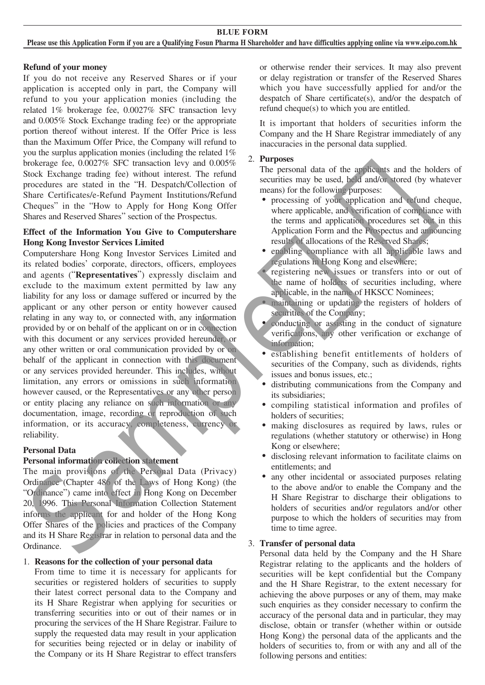### **Refund of your money**

If you do not receive any Reserved Shares or if your application is accepted only in part, the Company will refund to you your application monies (including the related 1% brokerage fee, 0.0027% SFC transaction levy and 0.005% Stock Exchange trading fee) or the appropriate portion thereof without interest. If the Offer Price is less than the Maximum Offer Price, the Company will refund to you the surplus application monies (including the related 1% brokerage fee, 0.0027% SFC transaction levy and 0.005% Stock Exchange trading fee) without interest. The refund procedures are stated in the "H. Despatch/Collection of Share Certificates/e-Refund Payment Institutions/Refund Cheques" in the "How to Apply for Hong Kong Offer Shares and Reserved Shares" section of the Prospectus.

### **Effect of the Information You Give to Computershare Hong Kong Investor Services Limited**

Computershare Hong Kong Investor Services Limited and its related bodies' corporate, directors, officers, employees and agents ("**Representatives**") expressly disclaim and exclude to the maximum extent permitted by law any liability for any loss or damage suffered or incurred by the applicant or any other person or entity however caused relating in any way to, or connected with, any information provided by or on behalf of the applicant on or in connection with this document or any services provided hereunder, or any other written or oral communication provided by or on behalf of the applicant in connection with this document or any services provided hereunder. This includes, without limitation, any errors or omissions in such information however caused, or the Representatives or any other person or entity placing any reliance on such information or any documentation, image, recording or reproduction of such information, or its accuracy, completeness, currency or reliability. concidents are the total in the 10-space of the Constraint and the conceller and the proposition of the processing of the Company and the Construction of the Construction of the Construction of the Construction of the con

## **Personal Data**

## **Personal information collection statement**

The main provisions of the Personal Data (Privacy) Ordinance (Chapter 486 of the Laws of Hong Kong) (the "Ordinance") came into effect in Hong Kong on December 20, 1996. This Personal Information Collection Statement informs the applicant for and holder of the Hong Kong Offer Shares of the policies and practices of the Company and its H Share Registrar in relation to personal data and the Ordinance.

## 1. **Reasons for the collection of your personal data**

From time to time it is necessary for applicants for securities or registered holders of securities to supply their latest correct personal data to the Company and its H Share Registrar when applying for securities or transferring securities into or out of their names or in procuring the services of the H Share Registrar. Failure to supply the requested data may result in your application for securities being rejected or in delay or inability of the Company or its H Share Registrar to effect transfers

or otherwise render their services. It may also prevent or delay registration or transfer of the Reserved Shares which you have successfully applied for and/or the despatch of Share certificate(s), and/or the despatch of refund cheque(s) to which you are entitled.

It is important that holders of securities inform the Company and the H Share Registrar immediately of any inaccuracies in the personal data supplied.

## 2. **Purposes**

The personal data of the applicants and the holders of securities may be used, held and/or stored (by whatever means) for the following purposes:

- ‧ processing of your application and refund cheque, where applicable, and verification of compliance with the terms and application procedures set out in this Application Form and the Prospectus and announcing results of allocations of the Reserved Shares;
- enabling compliance with all applicable laws and regulations in Hong Kong and elsewhere;
- registering new issues or transfers into or out of the name of holders of securities including, where applicable, in the name of HKSCC Nominees;
- ‧ maintaining or updating the registers of holders of securities of the Company;
- conducting or assisting in the conduct of signature verifications, any other verification or exchange of information;
- ‧ establishing benefit entitlements of holders of securities of the Company, such as dividends, rights issues and bonus issues, etc.;
- distributing communications from the Company and its subsidiaries;
- ‧ compiling statistical information and profiles of holders of securities;
- making disclosures as required by laws, rules or regulations (whether statutory or otherwise) in Hong Kong or elsewhere;
- ‧ disclosing relevant information to facilitate claims on entitlements; and
- any other incidental or associated purposes relating to the above and/or to enable the Company and the H Share Registrar to discharge their obligations to holders of securities and/or regulators and/or other purpose to which the holders of securities may from time to time agree.

## 3. **Transfer of personal data**

 Personal data held by the Company and the H Share Registrar relating to the applicants and the holders of securities will be kept confidential but the Company and the H Share Registrar, to the extent necessary for achieving the above purposes or any of them, may make such enquiries as they consider necessary to confirm the accuracy of the personal data and in particular, they may disclose, obtain or transfer (whether within or outside Hong Kong) the personal data of the applicants and the holders of securities to, from or with any and all of the following persons and entities: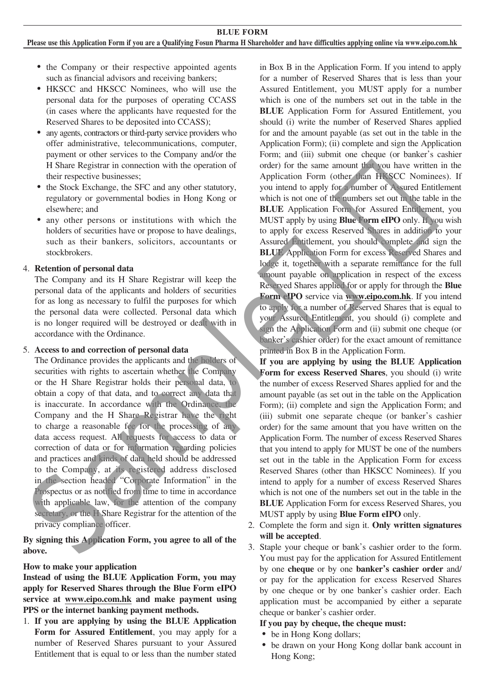#### **Please use this Application Form if you are a Qualifying Fosun Pharma H Shareholder and have difficulties applying online via www.eipo.com.hk**

- the Company or their respective appointed agents such as financial advisors and receiving bankers;
- ‧ HKSCC and HKSCC Nominees, who will use the personal data for the purposes of operating CCASS (in cases where the applicants have requested for the Reserved Shares to be deposited into CCASS);
- ‧ any agents, contractors or third-party service providers who offer administrative, telecommunications, computer, payment or other services to the Company and/or the H Share Registrar in connection with the operation of their respective businesses;
- ‧ the Stock Exchange, the SFC and any other statutory, regulatory or governmental bodies in Hong Kong or elsewhere; and
- ‧ any other persons or institutions with which the holders of securities have or propose to have dealings, such as their bankers, solicitors, accountants or stockbrokers.

#### 4. **Retention of personal data**

The Company and its H Share Registrar will keep the personal data of the applicants and holders of securities for as long as necessary to fulfil the purposes for which the personal data were collected. Personal data which is no longer required will be destroyed or dealt with in accordance with the Ordinance.

#### 5. **Access to and correction of personal data**

The Ordinance provides the applicants and the holders of securities with rights to ascertain whether the Company or the H Share Registrar holds their personal data, to obtain a copy of that data, and to correct any data that is inaccurate. In accordance with the Ordinance, the Company and the H Share Registrar have the right to charge a reasonable fee for the processing of any data access request. All requests for access to data or correction of data or for information regarding policies and practices and kinds of data held should be addressed to the Company, at its registered address disclosed in the section headed "Corporate Information" in the Prospectus or as notified from time to time in accordance with applicable law, for the attention of the company secretary, or the H Share Registrar for the attention of the privacy compliance officer. The last contribution of the SFC and any other standary<br>
The since of Assend Entitlemental product and the SFC and any other standary<br>
realization equivalent in the second contribution of the control of the same standard

**By signing this Application Form, you agree to all of the above.**

#### **How to make your application**

**Instead of using the BLUE Application Form, you may apply for Reserved Shares through the Blue Form eIPO service at www.eipo.com.hk and make payment using PPS or the internet banking payment methods.**

1. **If you are applying by using the BLUE Application Form for Assured Entitlement**, you may apply for a number of Reserved Shares pursuant to your Assured Entitlement that is equal to or less than the number stated

in Box B in the Application Form. If you intend to apply for a number of Reserved Shares that is less than your Assured Entitlement, you MUST apply for a number which is one of the numbers set out in the table in the **BLUE** Application Form for Assured Entitlement, you should (i) write the number of Reserved Shares applied for and the amount payable (as set out in the table in the Application Form); (ii) complete and sign the Application Form; and (iii) submit one cheque (or banker's cashier order) for the same amount that you have written in the Application Form (other than HKSCC Nominees). If you intend to apply for a number of Assured Entitlement which is not one of the numbers set out in the table in the **BLUE** Application Form for Assured Entitlement, you MUST apply by using **Blue Form eIPO** only. If you wish to apply for excess Reserved Shares in addition to your Assured Entitlement, you should complete and sign the **BLUE** Application Form for excess Reserved Shares and lodge it, together with a separate remittance for the full amount payable on application in respect of the excess Reserved Shares applied for or apply for through the **Blue Form eIPO** service via **www.eipo.com.hk**. If you intend to apply for a number of Reserved Shares that is equal to your Assured Entitlement, you should (i) complete and sign the Application Form and (ii) submit one cheque (or banker's cashier order) for the exact amount of remittance printed in Box B in the Application Form.

**If you are applying by using the BLUE Application Form for excess Reserved Shares**, you should (i) write the number of excess Reserved Shares applied for and the amount payable (as set out in the table on the Application Form); (ii) complete and sign the Application Form; and (iii) submit one separate cheque (or banker's cashier order) for the same amount that you have written on the Application Form. The number of excess Reserved Shares that you intend to apply for MUST be one of the numbers set out in the table in the Application Form for excess Reserved Shares (other than HKSCC Nominees). If you intend to apply for a number of excess Reserved Shares which is not one of the numbers set out in the table in the **BLUE** Application Form for excess Reserved Shares, you MUST apply by using **Blue Form eIPO** only.

2. Complete the form and sign it. **Only written signatures will be accepted**.

3. Staple your cheque or bank's cashier order to the form. You must pay for the application for Assured Entitlement by one **cheque** or by one **banker's cashier order** and/ or pay for the application for excess Reserved Shares by one cheque or by one banker's cashier order. Each application must be accompanied by either a separate cheque or banker's cashier order.

#### **If you pay by cheque, the cheque must:**

- be in Hong Kong dollars;
- ‧ be drawn on your Hong Kong dollar bank account in Hong Kong;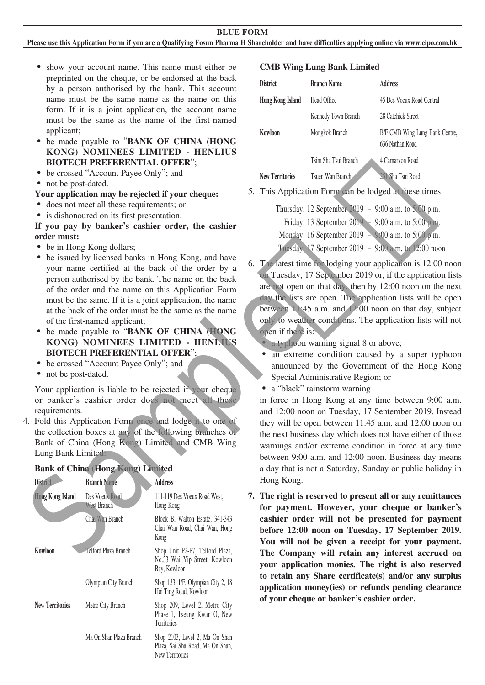**BLUE FORM**

**Please use this Application Form if you are a Qualifying Fosun Pharma H Shareholder and have difficulties applying online via www.eipo.com.hk**

- show your account name. This name must either be preprinted on the cheque, or be endorsed at the back by a person authorised by the bank. This account name must be the same name as the name on this form. If it is a joint application, the account name must be the same as the name of the first-named applicant;
- ‧ be made payable to "**BANK OF CHINA (HONG KONG) NOMINEES LIMITED - HENLIUS BIOTECH PREFERENTIAL OFFER**";
- ‧ be crossed "Account Payee Only"; and
- not be post-dated.

#### **Your application may be rejected if your cheque:**

- ‧ does not meet all these requirements; or
- is dishonoured on its first presentation.

### **If you pay by banker's cashier order, the cashier order must:**

- be in Hong Kong dollars;
- be issued by licensed banks in Hong Kong, and have your name certified at the back of the order by a person authorised by the bank. The name on the back of the order and the name on this Application Form must be the same. If it is a joint application, the name at the back of the order must be the same as the name of the first-named applicant;
- ‧ be made payable to "**BANK OF CHINA (HONG KONG) NOMINEES LIMITED - HENLIUS BIOTECH PREFERENTIAL OFFER**";
- ‧ be crossed "Account Payee Only"; and
- not be post-dated.

Your application is liable to be rejected if your cheque or banker's cashier order does not meet all these requirements.

4. Fold this Application Form once and lodge it to one of the collection boxes at any of the following branches of Bank of China (Hong Kong) Limited and CMB Wing Lung Bank Limited:

### **Bank of China (Hong Kong) Limited**

| <b>District</b>         | <b>Branch Name</b>            | <b>Address</b>                                                                        |
|-------------------------|-------------------------------|---------------------------------------------------------------------------------------|
| <b>Hong Kong Island</b> | Des Voeux Road<br>West Branch | 111-119 Des Voeux Road West,<br>Hong Kong                                             |
|                         | Chai Wan Branch               | Block B, Walton Estate, 341-343<br>Chai Wan Road, Chai Wan, Hong<br>Kong              |
| Kowloon                 | Telford Plaza Branch          | Shop Unit P2-P7, Telford Plaza,<br>No.33 Wai Yip Street, Kowloon<br>Bay, Kowloon      |
|                         | Olympian City Branch          | Shop 133, 1/F, Olympian City 2, 18<br>Hoi Ting Road, Kowloon                          |
| <b>New Territories</b>  | Metro City Branch             | Shop 209, Level 2, Metro City<br>Phase 1, Tseung Kwan O, New<br>Territories           |
|                         | Ma On Shan Plaza Branch       | Shop 2103, Level 2, Ma On Shan<br>Plaza, Sai Sha Road, Ma On Shan,<br>New Territories |

#### **CMB Wing Lung Bank Limited**

| <b>District</b>         | <b>Branch Name</b>   | Address                                           |
|-------------------------|----------------------|---------------------------------------------------|
| <b>Hong Kong Island</b> | Head Office          | 45 Des Voeux Road Central                         |
|                         | Kennedy Town Branch  | 28 Catchick Street                                |
| Kowloon                 | Mongkok Branch       | B/F CMB Wing Lung Bank Centre,<br>636 Nathan Road |
|                         | Tsim Sha Tsui Branch | 4 Carnaryon Road                                  |
| <b>New Territories</b>  | Tsuen Wan Branch     | 251 Sha Tsui Road                                 |

5. This Application Form can be lodged at these times:

|  | Thursday, 12 September 2019 - 9:00 a.m. to 5:00 p.m. |  |  |                                                      |
|--|------------------------------------------------------|--|--|------------------------------------------------------|
|  | Friday, 13 September 2019 - 9:00 a.m. to 5:00 p.m.   |  |  |                                                      |
|  | Monday, 16 September 2019 - 9:00 a.m. to 5:00 p.m.   |  |  |                                                      |
|  |                                                      |  |  | Tuesday, 17 September 2019 - 9:00 a.m. to 12:00 noon |

- 6. The latest time for lodging your application is 12:00 noon on Tuesday, 17 September 2019 or, if the application lists are not open on that day, then by 12:00 noon on the next day the lists are open. The application lists will be open between 11:45 a.m. and 12:00 noon on that day, subject only to weather conditions. The application lists will not open if there is:
	- a typhoon warning signal 8 or above;
	- an extreme condition caused by a super typhoon announced by the Government of the Hong Kong Special Administrative Region; or
	- a "black" rainstorm warning

in force in Hong Kong at any time between 9:00 a.m. and 12:00 noon on Tuesday, 17 September 2019. Instead they will be open between 11:45 a.m. and 12:00 noon on the next business day which does not have either of those warnings and/or extreme condition in force at any time between 9:00 a.m. and 12:00 noon. Business day means a day that is not a Saturday, Sunday or public holiday in Hong Kong. For the pressure data these equilibre (and the sequence of the material three colors and the sequence of the sequence of the sequence of the sequence of the sequence of the sequence of the sequence of the sequence of the

**7. The right is reserved to present all or any remittances for payment. However, your cheque or banker's cashier order will not be presented for payment before 12:00 noon on Tuesday, 17 September 2019. You will not be given a receipt for your payment. The Company will retain any interest accrued on your application monies. The right is also reserved to retain any Share certificate(s) and/or any surplus application money(ies) or refunds pending clearance of your cheque or banker's cashier order.**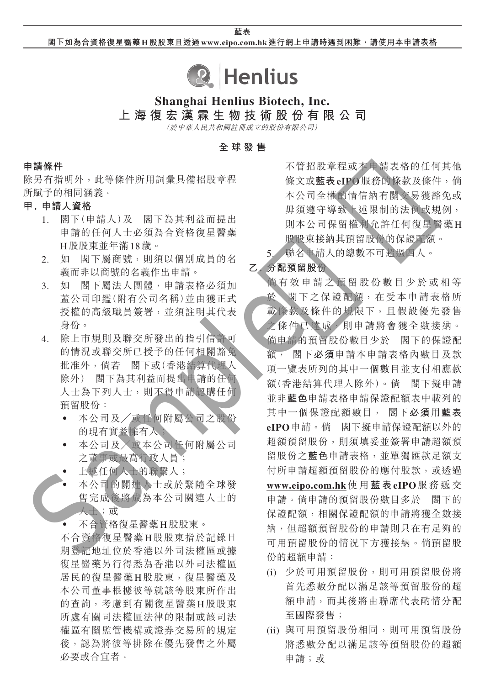**閣下如為合資格復星醫藥 H股股東且透過www.eipo.com.hk 進行網上申請時遇到困難,請使用本申請表格**



# **Shanghai Henlius Biotech, Inc.**

**上海復宏漢霖生物技術股份有限公司**

(於中華人民共和國註冊成立的股份有限公司)

**全球發售**

### **申請條件**

除另有指明外,此等條件所用詞彙具備招股章程 所賦予的相同涵義。

## **甲. 申請人資格**

- 1. 閣下(申請人)及 閣下為其利益而提出 申請的任何人士必須為合資格復星醫藥 H股股東並年滿18歲。
- 2. 如 閣下屬商號,則須以個別成員的名 義而非以商號的名義作出申請。
- 3. 如 閣下屬法人團體,申請表格必須加 蓋公司印鑑(附有公司名稱)並由獲正式 授權的高級職員簽署,並須註明其代表 身份。
- 4. 除上市規則及聯交所發出的指引信許可 的情況或聯交所已授予的任何相關豁免 批准外,倘若 閣下或(香港結算代理人 除外) 閣下為其利益而提出申請的任何 人士為下列人士,則不得申請認購任何 預留股份:
	- ‧ 本公司及╱或任何附屬公司之股份 的現有實益擁有人;
	- ‧ 本公司及╱或本公司任何附屬公司 之董事或最高行政人員;
	- 上述任何人士的聯繫人;
	- 本公司的關連人士或於緊隨全球發 售完成後將成為本公司關連人士的 人士;或
	- ‧ 不合資格復星醫藥H股股東。

不合資格復星醫藥H股股東指於記錄日 期登記地址位於香港以外司法權區或據 復星醫藥另行得悉為香港以外司法權區 居民的復星醫藥H股股東,復星醫藥及 本公司董事根據彼等就該等股東所作出 的查詢,考慮到有關復星醫藥H股股東 所處有關司法權區法律的限制或該司法 權區有關監管機構或證券交易所的規定 後,認為將彼等排除在優先發售之外屬 必要或合宜者。

不管招股章程或本申請表格的任何其他 條文或**藍表eIPO**服務的條款及條件,倘 本公司全權酌情信納有關交易獲豁免或 毋須遵守導致上述限制的法例或規例, 則本公司保留權利允許任何復星醫藥H 股股東接納其預留股份的保證配額。

5. 聯名申請人的總數不可超過四人。

## **乙. 分配預留股份**

倘有效申請之預留股份數目少於或相等 於 閣下之保證配額,在受本申請表格所 載條款及條件的規限下,且假設優先發售 之條件已達成,則申請將會獲全數接納。 倘申請的預留股份數目少於 閣下的保證配 額, 閣下**必須**申請本申請表格內數目及款 項一覽表所列的其中一個數目並支付相應款 額(香港結算代理人除外)。倘 閣下擬申請 並非**藍色**申請表格申請保證配額表中載列的 其中一個保證配額數目, 閣下**必須**用**藍表 eIPO**申請。倘 閣下擬申請保證配額以外的 超額預留股份,則須填妥並簽署申請超額預 留股份之**藍色**申請表格,並單獨匯款足額支 付所申請超額預留股份的應付股款,或透過 **www.eipo.com.hk**使 用 **藍 表eIPO**服務遞交 申請。倘申請的預留股份數目多於 閣下的 保證配額,相關保證配額的申請將獲全數接 納,但超額預留股份的申請則只在有足夠的 可用預留股份的情況下方獲接納。倘預留股 份的超額申請: 《有相關》,如果是是最重量的。《全會,不會,不會,不會,不會,不會,不會,不會,不會是是要是的。我們的批准。我們的批准。我們的批准,我們的出現,我們的出現了,我們的出現了,我們的出現的,我們的出現最高的。我們的出現,我們的出現的。我們的出現的,我們的出現的。我們的出現的,我們的出現的。我們的出現的。我們的出現的。我們的出現的。我們的出現的,我們就是一個的。我們的一個的,我們的一個的。我們的一個的,我們的一個的。我們的一個的,我們的是一

- (i) 少於可用預留股份,則可用預留股份將 首先悉數分配以滿足該等預留股份的超 額申請,而其後將由聯席代表酌情分配 至國際發售;
- (ii) 與可用預留股份相同,則可用預留股份 將悉數分配以滿足該等預留股份的超額 申請;或

## **藍表**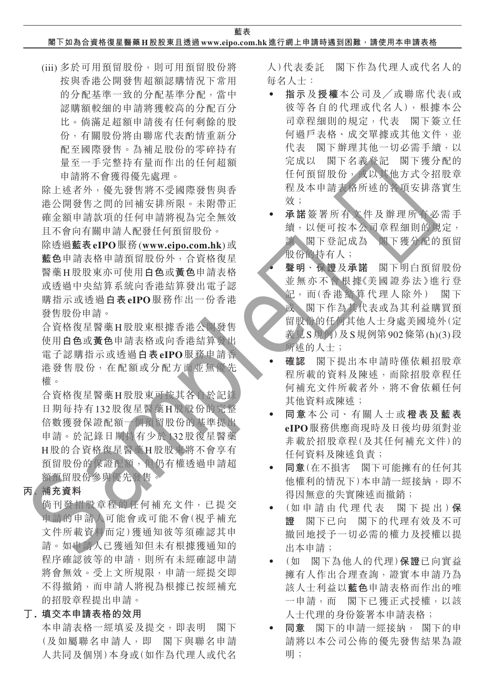**藍表**

## **閣下如為合資格復星醫藥 H股股東且透過www.eipo.com.hk 進行網上申請時遇到困難,請使用本申請表格**

(iii) 多於可用預留股份,則可用預留股份將 按與香港公開發售超額認購情況下常用 的分配基準一致的分配基準分配,當中 認購額較細的申請將獲較高的分配百分 比。倘滿足超額申請後有任何剩餘的股 份,有關股份將由聯席代表酌情重新分 配至國際發售。為補足股份的零碎持有 量至一手完整持有量而作出的任何超額 申請將不會獲得優先處理。

除上述者外,優先發售將不受國際發售與香 港公開發售之間的回補安排所限。未附帶正 確金額申請款項的任何申請將視為完全無效 且不會向有關申請人配發任何預留股份。

除透過**藍表eIPO**服務(**www.eipo.com.hk**)或 **藍色**申請表格申請預留股份外,合資格復星 醫藥H股股東亦可使用**白色**或**黃色**申請表格 或透過中央結算系統向香港結算發出電子認 購指示或透過**白表eIPO**服務作出一份香港 發售股份申請。

合資格復星醫藥H股股東根據香港公開發售 使用**白色**或**黃色**申請表格或向香港結算發出 電子認購指示或透過**白表eIPO**服務申請香 港發售股份,在配額或分配方面並無優先 權。

合資格復星醫藥H股股東可按其各自於記錄 日期每持有132股復星醫藥H股股份的完整 倍數獲發保證配額一個預留股份的基準提出 申請。於記錄日期持有少於132股復星醫藥 H股的合資格復星醫藥H股股東將不會享有 預留股份的保證配額,但仍有權透過申請超 額預留股份參與優先發售。 Sample樣版

## **丙. 補充資料**

倘刊發招股章程的任何補充文件,已提交 申請的申請人可能會或可能不會(視乎補充 文件所載資料而定)獲通知彼等須確認其申 請。如申請人已獲通知但未有根據獲通知的 程序確認彼等的申請,則所有未經確認申請 將會無效。受上文所規限,申請一經提交即 不得撤銷,而申請人將視為根據已按經補充 的招股章程提出申請。

## **丁. 填交本申請表格的效用**

本申請表格一經填妥及提交,即表明 閣下 (及如屬聯名申請人,即 閣下與聯名申請 人共同及個別)本身或(如作為代理人或代名

人)代表委託 閣下作為代理人或代名人的 每名人士:

- ‧ **指示**及**授權**本公司及╱或聯席代表(或 彼等各自的代理或代名人),根據本公 司章程細則的規定,代表 閣下簽立任 何過戶表格、成交單據或其他文件,並 代表 閣下辦理其他一切必需手續,以 完成以 閣下名義登記 閣下獲分配的 任何預留股份,或以其他方式令招股章 程及本申請表格所述的各項安排落實生 效;
- ‧ **承諾**簽署所有文件及辦理所有必需手 續,以便可按本公司章程細則的規定, 讓 閣下登記成為 閣下獲分配的預留 股份的持有人;
- ‧ **聲明**、**保證**及**承諾** 閣下明白預留股份 並無亦不會根據《美國證券法》進行登 記,而(香港結算代理人除外) 閣下

或 閣下作為其代表或為其利益購買預 留股份的任何其他人士身處美國境外(定 義見S規例)及S規例第902條第(h)(3)段 所述的人士;

- ‧ **確認** 閣下提出本申請時僅依賴招股章 程所載的資料及陳述,而除招股章程任 何補充文件所載者外,將不會依賴任何 其他資料或陳述;
- ‧ **同意**本公司、有關人士或**橙表及藍表 eIPO**服務供應商現時及日後均毋須對並 非載於招股章程(及其任何補充文件)的 任何資料及陳述負責;
- ‧ **同意**(在不損害 閣下可能擁有的任何其 他權利的情況下)本申請一經接納,即不 得因無意的失實陳述而撤銷;
- ‧ (如申請由代理代表 閣下提出)**保 證** 閣下已向 閣下的代理有效及不可 撤回地授予一切必需的權力及授權以提 出本申請;
- ‧ (如 閣下為他人的代理)**保證**已向實益 擁有人作出合理查詢,證實本申請乃為 該人士利益以**藍色**申請表格而作出的唯 一申請,而 閣下已獲正式授權,以該 人士代理的身份簽署本申請表格;
- ‧ **同意** 閣下的申請一經接納, 閣下的申 請將以本公司公佈的優先發售結果為證 明;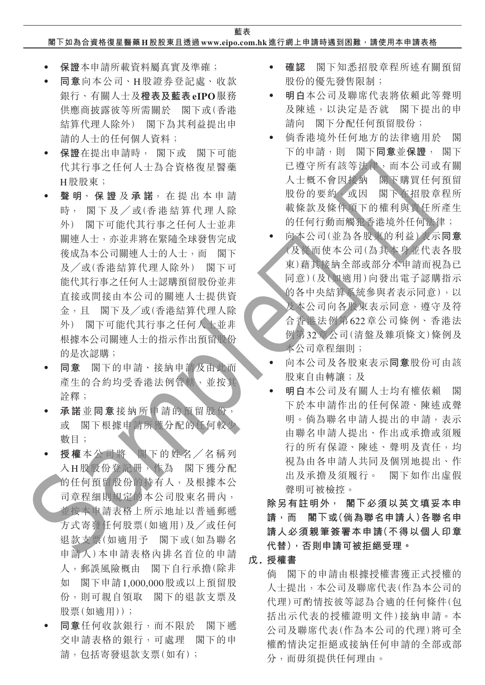## **閣下如為合資格復星醫藥 H股股東且透過www.eipo.com.hk 進行網上申請時遇到困難,請使用本申請表格**

- ‧ **保證**本申請所載資料屬真實及準確;
- ‧ **同意**向本公司、H股證券登記處、收款 銀行、有關人士及**橙表及藍表eIPO**服務 供應商披露彼等所需關於 閣下或(香港 結算代理人除外) 閣下為其利益提出申 請的人士的任何個人資料;
- ‧ **保證**在提出申請時, 閣下或 閣下可能 代其行事之任何人士為合資格復星醫藥 H股股東;
- ‧ **聲 明**、 **保 證** 及 **承 諾**,在提出本申請 時, 閣下及/或(香港結算代理人除 外) 閣下可能代其行事之任何人士並非 關連人士,亦並非將在緊隨全球發售完成 後成為本公司關連人士的人士,而 閣下 及╱或(香港結算代理人除外) 閣下可 能代其行事之任何人士認購預留股份並非 直接或間接由本公司的關連人士提供資 金,且 閣下及╱或(香港結算代理人除 外) 閣下可能代其行事之任何人士並非 根據本公司關連人士的指示作出預留股份 的是次認購; Sample樣版
	- ‧ **同意** 閣下的申請、接納申請及由此而 產生的合約均受香港法例管轄、並按其 詮釋;
	- ‧ **承諾**並**同意**接納所申請的預留股份, 或 閣下根據申請所獲分配的任何較少 數目;
	- ‧ **授權**本公司將 閣下的姓名╱名稱列 入H股股份登記冊,作為 閣下獲分配 的任何預留股份的持有人,及根據本公 司章程細則規定的本公司股東名冊內, 並按本申請表格上所示地址以普通郵遞 方式寄發任何股票(如適用)及╱或任何 退款支票(如適用予 閣下或(如為聯名 申請人)本申請表格內排名首位的申請 人,郵誤風險概由 閣下自行承擔(除非 如 閣下申請1,000,000股或以上預留股 份,則可親自領取 閣下的退款支票及 股票(如適用));
	- ‧ **同意**任何收款銀行,而不限於 閣下遞 交申請表格的銀行,可處理 閣下的申 請,包括寄發退款支票(如有);
- ‧ **確認** 閣下知悉招股章程所述有關預留 股份的優先發售限制;
- ‧ **明白**本公司及聯席代表將依賴此等聲明 及陳述,以決定是否就 閣下提出的申 請向 閣下分配任何預留股份;
- ‧ 倘香港境外任何地方的法律適用於 閣 下的申請,則 閣下**同意**並**保證**, 閣下 已遵守所有該等法律,而本公司或有關 人士概不會因接納 閣下購買任何預留 股份的要約,或因 閣下在招股章程所 載條款及條件項下的權利與責任所產生 的任何行動而觸犯香港境外任何法律;
- ‧ 向本公司(並為各股東的利益)表示**同意** (及從而使本公司(為其本身並代表各股 東)藉其接納全部或部分本申請而視為已 同意)(及(如適用)向發出電子認購指示 的各中央結算系統參與者表示同意),以 及本公司向各股東表示同意,遵守及符 合香港法例第622章公司條例、香港法 例第32章公司(清盤及雜項條文)條例及 本公司章程細則;
- ‧ 向本公司及各股東表示**同意**股份可由該 股東自由轉讓;及
- ‧ **明白**本公司及有關人士均有權依賴 閣 下於本申請作出的任何保證、陳述或聲 明。倘為聯名申請人提出的申請,表示 由聯名申請人提出、作出或承擔或須履 行的所有保證、陳述、聲明及責任,均 視為由各申請人共同及個別地提出、作 出及承擔及須履行。 閣下如作出虛假 聲明可被檢控。

**除另有註明外, 閣下必須以英文填妥本申 請,而 閣下或(倘為聯名申請人)各聯名申 請人必須親筆簽署本申請(不得以個人印章 代替),否則申請可被拒絕受理。**

## **戊. 授權書**

倘 閣下的申請由根據授權書獲正式授權的 人士提出,本公司及聯席代表(作為本公司的 代理)可酌情按彼等認為合適的任何條件(包 括出示代表的授權證明文件)接納申請。本 公司及聯席代表(作為本公司的代理)將可全 權酌情決定拒絕或接納任何申請的全部或部 分,而毋須提供任何理由。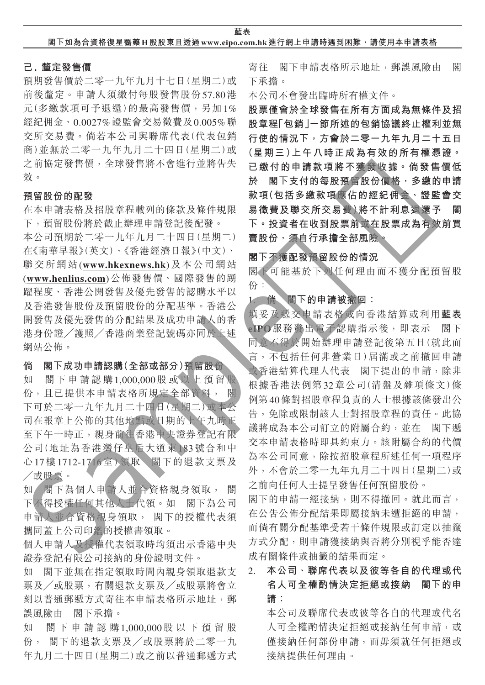**藍表**

## **己. 釐定發售價**

預期發售價於二零一九年九月十七日(星期二)或 前後釐定。申請人須繳付每股發售股份57.80港 元(多繳款項可予退還)的最高發售價,另加1% 經紀佣金、0.0027%證監會交易徵費及0.005%聯 交所交易費。倘若本公司與聯席代表(代表包銷 商)並無於二零一九年九月二十四日(星期二)或 之前協定發售價,全球發售將不會進行並將告失 效。

## **預留股份的配發**

在本申請表格及招股章程載列的條款及條件規限 下,預留股份將於截止辦理申請登記後配發。

本公司預期於二零一九年九月二十四日(星期二) 在《南華早報》(英文)、《香港經濟日報》(中文)、 聯交所網站(**www.hkexnews.hk**)及本公司網站 (**www.henlius.com**)公佈發售價、國際發售的踴 躍程度、香港公開發售及優先發售的認購水平以 及香港發售股份及預留股份的分配基準。香港公 開發售及優先發售的分配結果及成功申請人的香 港身份證╱護照╱香港商業登記號碼亦同於上述 網站公佈。

## **倘 閣下成功申請認購(全部或部分)預留股份**

如 閣下申請認購1,000,000股或以上預留股 份,且已提供本申請表格所規定全部資料, 閣 下可於二零一九年九月二十四日(星期二)或本公 司在報章上公佈的其他地點或日期的上午九時正 至下午一時正,親身前往香港中央證券登記有限 公司(地址為香港灣仔皇后大道東183號合和中 心17樓1712-1716室)領取 閣下的退款支票及 ╱或股票。

如 閣下為個人申請人並合資格親身領取, 閣 下不得授權任何其他人士代領。如 閣下為公司 申請人並合資格親身領取, 閣下的授權代表須 攜同蓋上公司印鑑的授權書領取。

個人申請人及授權代表領取時均須出示香港中央 證券登記有限公司接納的身份證明文件。

如 閣下並無在指定領取時間內親身領取退款支 票及╱或股票,有關退款支票及╱或股票將會立 刻以普通郵遞方式寄往本申請表格所示地址,郵 誤風險由 閣下承擔。

如 閣下申請認購1,000,000股以下預留股 份, 閣下的退款支票及╱或股票將於二零一九 年九月二十四日(星期二)或之前以普通郵遞方式 寄往 閣下申請表格所示地址,郵誤風險由 閣 下承擔。

本公司不會發出臨時所有權文件。

**股票僅會於全球發售在所有方面成為無條件及招 股章程「包銷」一節所述的包銷協議終止權利並無 行使的情況下,方會於二零一九年九月二十五日 (星期三)上午八時正成為有效的所有權憑證。 已繳付的申請款項將不獲發收據。倘發售價低 於 閣下支付的每股預留股份價格,多繳的申請 款項(包括多繳款項應佔的經紀佣金、證監會交 易徵費及聯交所交易費)將不計利息退還予 閣 下。投資者在收到股票前或在股票成為有效前買 賣股份,須自行承擔全部風險。**

## **閣下不獲配發預留股份的情況**

閣下可能基於下列任何理由而不獲分配預留股 份:

## 1. **倘 閣下的申請被撤回:**

填妥及遞交申請表格或向香港結算或利用**藍表 eIPO**服務發出電子認購指示後,即表示 閣下 同意不得於開始辦理申請登記後第五日(就此而 言,不包括任何非營業日)屆滿或之前撤回申請 或香港結算代理人代表 閣下提出的申請,除非 根據香港法例第32章公司(清盤及雜項條文)條 例第40條對招股章程負責的人士根據該條發出公 告,免除或限制該人士對招股章程的責任。此協 議將成為本公司訂立的附屬合約,並在 閣下遞 交本申請表格時即具約束力。該附屬合約的代價 為本公司同意,除按招股章程所述任何一項程序 外,不會於二零一九年九月二十四日(星期二)或 之前向任何人士提呈發售任何預留股份。 Sample樣版

閣下的申請一經接納,則不得撤回。就此而言, 在公告公佈分配結果即屬接納未遭拒絕的申請, 而倘有關分配基準受若干條件規限或訂定以抽籤 方式分配,則申請獲接納與否將分別視乎能否達 成有關條件或抽籤的結果而定。

# 2. **本公司、聯席代表以及彼等各自的代理或代 名人可全權酌情決定拒絕或接納 閣下的申 請:**

本公司及聯席代表或彼等各自的代理或代名 人可全權酌情決定拒絕或接納任何申請,或 僅接納任何部份申請,而毋須就任何拒絕或 接納提供任何理由。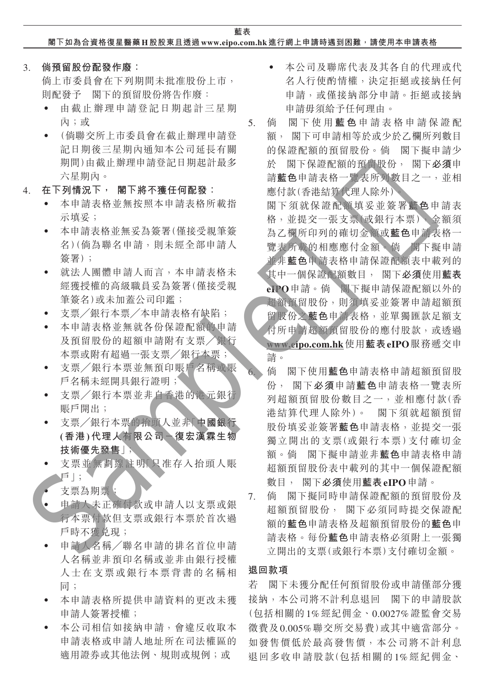**藍表 閣下如為合資格復星醫藥 H股股東且透過www.eipo.com.hk 進行網上申請時遇到困難,請使用本申請表格**

3. **倘預留股份配發作廢:**

倘上市委員會在下列期間未批准股份上市, 則配發予 閣下的預留股份將告作廢:

- 由截止辦理申請登記日期起計三星期 內;或
- ‧ (倘聯交所上市委員會在截止辦理申請登 記日期後三星期內通知本公司延長有關 期間)由截止辦理申請登記日期起計最多 六星期內。
- 4. **在下列情況下, 閣下將不獲任何配發:**
	- ‧ 本申請表格並無按照本申請表格所載指 示填妥;
	- ‧ 本申請表格並無妥為簽署(僅接受親筆簽 名)(倘為聯名申請,則未經全部申請人 簽署);
	- ‧ 就法人團體申請人而言,本申請表格未 經獲授權的高級職員妥為簽署(僅接受親 筆簽名)或未加蓋公司印鑑;
	- ‧ 支票╱銀行本票╱本申請表格有缺陷;
	- 本申請表格並無就各份保證配額的申請 及預留股份的超額申請附有支票╱銀行 本票或附有超過一張支票╱銀行本票;
	- ‧ 支票╱銀行本票並無預印賬戶名稱或賬 戶名稱未經開具銀行證明;
	- 支票/銀行本票並非自香港的港元銀行 賬戶開出;
	- ‧ 支票╱銀行本票的抬頭人並非「**中國銀行 (香港)代理人有限公司-復宏漢霖生物 技術優先發售**」;
	- 支票並無劃線註明「只准存入抬頭人賬 戶」;
	- 支票為期票;
	- ‧ 申請人未正確付款或申請人以支票或銀 行本票付款但支票或銀行本票於首次過 戶時不獲立現;
	- 申請人名稱/聯名申請的排名首位申請 人名稱並非預印名稱或並非由銀行授權 人士在支票或銀行本票背書的名稱相 同;
	- ‧ 本申請表格所提供申請資料的更改未獲 申請人簽署授權;
	- ‧ 本公司相信如接納申請,會違反收取本 申請表格或申請人地址所在司法權區的 適用證券或其他法例、規則或規例;或
- 本公司及聯席代表及其各自的代理或代 名人行使酌情權,決定拒絕或接納任何 申請,或僅接納部分申請。拒絕或接納 申請毋須給予任何理由。
- 5. 倘 閣下使用 **藍 色** 申請表格申請保證配 額, 閣下可申請相等於或少於乙欄所列數目 的保證配額的預留股份。倘 閣下擬申請少 於 閣下保證配額的預留股份, 閣下**必須**申 請**藍色**申請表格一覽表所列數目之一,並相 應付款(香港結算代理人除外)。

閣下須就保證配額填妥並簽署**藍色**申請表 格,並提交一張支票(或銀行本票),金額須 為乙欄所印列的確切金額或**藍色**申請表格一 覽表所載的相應應付金額。倘 閣下擬申請 並非**藍色**申請表格申請保證配額表中載列的 其中一個保證配額數目, 閣下**必須**使用**藍表 eIPO**申請。倘 閣下擬申請保證配額以外的 超額預留股份,則須填妥並簽署申請超額預 留股份之**藍色**申請表格,並單獨匯款足額支 付所申請超額預留股份的應付股款,或透過 **www.eipo.com.hk**使用**藍表eIPO**服務遞交申 請。 Sample樣版

- 6. 倘 閣下使用**藍色**申請表格申請超額預留股 份, 閣下**必須**申請**藍色**申請表格一覽表所 列超額預留股份數目之一,並相應付款(香 港結算代理人除外)。 閣下須就超額預留 股份填妥並簽署**藍色**申請表格,並提交一張 獨立開出的支票(或銀行本票)支付確切金 額。倘 閣下擬申請並非**藍色**申請表格申請 超額預留股份表中載列的其中一個保證配額 數目, 閣下**必須**使用**藍表eIPO**申請。
- 7. 倘 閣下擬同時申請保證配額的預留股份及 超額預留股份, 閣下必須同時提交保證配 額的**藍色**申請表格及超額預留股份的**藍色**申 請表格。每份**藍色**申請表格必須附上一張獨 立開出的支票(或銀行本票)支付確切金額。

## **退回款項**

若 閣下未獲分配任何預留股份或申請僅部分獲 接納,本公司將不計利息退回 閣下的申請股款 (包括相關的1%經紀佣金、0.0027%證監會交易 徵費及0.005%聯交所交易費)或其中適當部分。 如發售價低於最高發售價,本公司將不計利息 退回多收申請股款(包括相關的1%經紀佣金、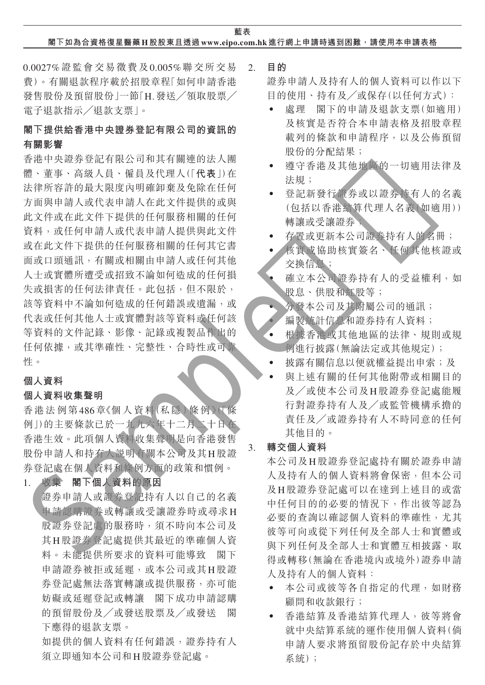## **閣下如為合資格復星醫藥 H股股東且透過www.eipo.com.hk 進行網上申請時遇到困難,請使用本申請表格**

0.0027%證監會交易徵費及0.005%聯交所交易 費)。有關退款程序載於招股章程「如何申請香港 發售股份及預留股份|一節「H. 發送 / 領取股票 / 電子退款指示╱退款支票」。

# **閣下提供給香港中央證券登記有限公司的資訊的 有關影響**

香港中央證券登記有限公司和其有關連的法人團 體、董事、高級人員、僱員及代理人(「**代表**」)在 法律所容許的最大限度內明確卸棄及免除在任何 方面與申請人或代表申請人在此文件提供的或與 此文件或在此文件下提供的任何服務相關的任何 資料,或任何申請人或代表申請人提供與此文件 或在此文件下提供的任何服務相關的任何其它書 面或口頭通訊,有關或相關由申請人或任何其他 人士或實體所遭受或招致不論如何造成的任何損 失或損害的任何法律責任。此包括,但不限於, 該等資料中不論如何造成的任何錯誤或遺漏,或 代表或任何其他人士或實體對該等資料或任何該 等資料的文件記錄、影像、記錄或複製品作出的 任何依據,或其準確性、完整性、合時性或可靠 性。 Sample樣版

## **個人資料**

## **個人資料收集聲明**

香港法例第486章《個人資料(私隱)條例》(「條 例」)的主要條款已於一九九六年十二月二十日在 香港生效。此項個人資料收集聲明是向香港發售 股份申請人和持有人說明有關本公司及其H股證 券登記處在個人資料和條例方面的政策和慣例。

## 1. **收集 閣下個人資料的原因**

證券申請人或證券登記持有人以自己的名義 申請認購證券或轉讓或受讓證券時或尋求H 股證券登記處的服務時,須不時向本公司及 其H股證券登記處提供其最近的準確個人資 料。未能提供所要求的資料可能導致 閣下 申請證券被拒或延遲,或本公司或其H股證 券登記處無法落實轉讓或提供服務,亦可能 妨礙或延遲登記或轉讓 閣下成功申請認購 的預留股份及╱或發送股票及╱或發送 閣 下應得的退款支票。

如提供的個人資料有任何錯誤,證券持有人 須立即通知本公司和H股證券登記處。

2. **目的**

證券申請人及持有人的個人資料可以作以下 目的使用、持有及╱或保存(以任何方式):

- 處理 閣下的申請及退款支票(如適用) 及核實是否符合本申請表格及招股章程 載列的條款和申請程序,以及公佈預留 股份的分配結果;
- 導守香港及其他地區的一切滴用法律及 法規;
- 登記新發行證券或以證券持有人的名義 (包括以香港結算代理人名義(如適用)) 轉讓或受讓證券;
- ‧ 存置或更新本公司證券持有人的名冊;
- 核實或協助核實簽名、任何其他核證或 交換信息;
- ‧ 確立本公司證券持有人的受益權利,如 股息、供股和紅股等;
- ‧ 分發本公司及其附屬公司的通訊;
- 編製統計信息和證券持有人資料;
- 根據香港或其他地區的法律、規則或規 例進行披露(無論法定或其他規定);
- 披露有關信息以便就權益提出申索;及
- 與上述有關的任何其他附帶或相關目的 及╱或使本公司及H股證券登記處能履 行對證券持有人及╱或監管機構承擔的 責任及╱或證券持有人不時同意的任何 其他目的。

## 3. **轉交個人資料**

本公司及H股證券登記處持有關於證券申請 人及持有人的個人資料將會保密,但本公司 及H股證券登記處可以在達到上述目的或當 中任何目的的必要的情況下,作出彼等認為 必要的查詢以確認個人資料的準確性,尤其 彼等可向或從下列任何及全部人士和實體或 與下列任何及全部人士和實體互相披露、取 得或轉移(無論在香港境內或境外)證券申請 人及持有人的個人資料:

- ‧ 本公司或彼等各自指定的代理,如財務 顧問和收款銀行;
- ‧ 香港結算及香港結算代理人,彼等將會 就中央結算系統的運作使用個人資料(倘 申請人要求將預留股份記存於中央結算 系統);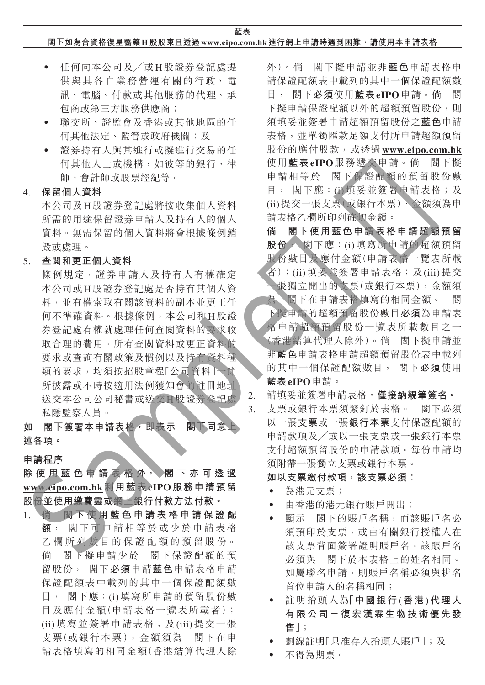**藍表**

## **閣下如為合資格復星醫藥 H股股東且透過www.eipo.com.hk 進行網上申請時遇到困難,請使用本申請表格**

- ‧ 任何向本公司及╱或H股證券登記處提 供與其各自業務營運有關的行政、電 訊、電腦、付款或其他服務的代理、承 包商或第三方服務供應商;
- ‧ 聯交所、證監會及香港或其他地區的任 何其他法定、監管或政府機關;及
- ‧ 證券持有人與其進行或擬進行交易的任 何其他人士或機構,如彼等的銀行、律 師、會計師或股票經紀等。

4. **保留個人資料**

本公司及H股證券登記處將按收集個人資料 所需的用途保留證券申請人及持有人的個人 資料。無需保留的個人資料將會根據條例銷 毀或處理。

5. **查閱和更正個人資料**

條例規定,證券申請人及持有人有權確定 本公司或H股證券登記處是否持有其個人資 料,並有權索取有關該資料的副本並更正任 何不準確資料。根據條例,本公司和H股證 券登記處有權就處理任何查閱資料的要求收 取合理的費用。所有查閱資料或更正資料的 要求或查詢有關政策及慣例以及持有資料種 類的要求,均須按招股章程「公司資料」一節 所披露或不時按適用法例獲知會的註冊地址 送交本公司公司秘書或送交H股證券登記處 私隱監察人員。 4. 保留用重装置将使用重装置,有一种,增加的过程中,最大的水位的水位的水位的水位的水位的水位的水位的水位,最后,以来,是有时间的水位的水位,如果是一种情况,我们的水位的水位,如果是一种情况,我们的水位的水位,而且,我们的水位的水位,而且,我们的水位的水位,而且,我们的进行来要求成本和其他人,因为我们的时候都是一个人,因为我们的人类好的,就是一个人,因为我们的人类好,我们们的人类好,我们们们们们们们们们们们们们们们们们们们们们们们们们

如 閣下簽署本申請表格 即表示 閣下同意 **述各項。**

#### **申請程序**

**除 使 用 藍 色 申 請 表 格 外, 閣下亦可透過 www.eipo.com.hk利用藍表eIPO服務申請預留 股份並使用繳費靈或網上銀行付款方法付款。**

1. **倘 閣 下使用藍色申請表格申請保證配 額**, 閣下可申請相等於或少於申請表格 乙 欄 所 列 數 目 的 保 證 配 額 的 預 留 股 份。 倘 閣下擬申請少於 閣下保證配額的預 留股份, 閣下**必須**申請**藍色**申請表格申請 保證配額表中載列的其中一個保證配額數 目, 閣下應:(i)填寫所申請的預留股份數 目及應付金額(申請表格一覽表所載者); (ii)填寫並簽署申請表格;及(iii)提交一張 支票(或銀行本票),金額須為 閣下在申 請表格填寫的相同金額(香港結算代理人除 外)。倘 閣下擬申請並非**藍色**申請表格申 請保證配額表中載列的其中一個保證配額數 目, 閣下**必須**使用**藍表eIPO**申請。倘 閣 下擬申請保證配額以外的超額預留股份,則 須填妥並簽署申請超額預留股份之**藍色**申請 表格,並單獨匯款足額支付所申請超額預留 股份的應付股款,或透過**www.eipo.com.hk** 使用**藍表eIPO**服務遞交申請。倘 閣下擬 申請相等於 閣下保證配額的預留股份數 目, 閣下應:(i)填妥並簽署申請表格;及 (ii)提交一張支票(或銀行本票),金額須為申 請表格乙欄所印列確切金額。

**倘 閣下使用藍色申請表格申請超額預留 股份**, 閣下應:(i)填寫所申請的超額預留 股份數目及應付金額(申請表格一覽表所載 者);(ii)填妥並簽署申請表格;及(iii)提交 一張獨立開出的支票(或銀行本票),金額須

- 為 閣下在申請表格填寫的相同金額。 閣 下擬申請的超額預留股份數目**必須**為申請表 格申請超額預留股份一覽表所載數目之一 (香港結算代理人除外)。倘 閣下擬申請並 非**藍色**申請表格申請超額預留股份表中載列 的其中一個保證配額數目, 閣下**必須**使用 **藍表eIPO**申請。
- 2. 請填妥並簽署申請表格。**僅接納親筆簽名。**
- 3. 支票或銀行本票須緊釘於表格。 閣下必須 以一張**支票**或一張**銀行本票**支付保證配額的 申請款項及╱或以一張支票或一張銀行本票 支付超額預留股份的申請款項。每份申請均 須附帶一張獨立支票或銀行本票。

**如以支票繳付款項,該支票必須:**

- ‧ 為港元支票;
- ‧ 由香港的港元銀行賬戶開出;
- ‧ 顯示 閣下的賬戶名稱,而該賬戶名必 須預印於支票,或由有關銀行授權人在 該支票背面簽署證明賬戶名。該賬戶名 必須與 閣下於本表格上的姓名相同。 如屬聯名申請,則賬戶名稱必須與排名 首位申請人的名稱相同;
- ‧ 註明抬頭人為**「中國銀行(香港)代理人 有限公司-復宏漢霖生物技術優先發 售**」;
- 劃線註明「只准存入抬頭人賬戶 |;及
- ‧ 不得為期票。